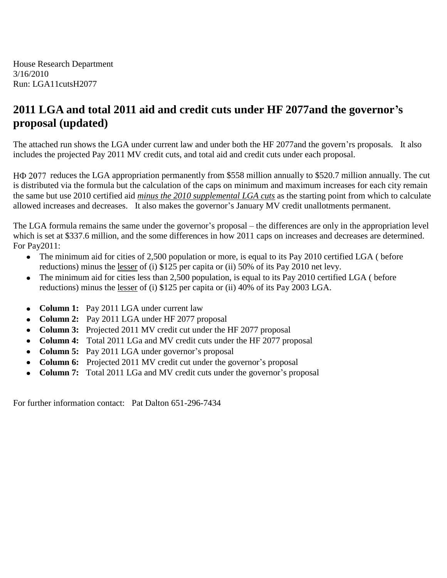House Research Department 3/16/2010 Run: LGA11cutsH2077

### **2011 LGA and total 2011 aid and credit cuts under HF 2077and the governor's proposal (updated)**

The attached run shows the LGA under current law and under both the HF 2077and the govern'rs proposals. It also includes the projected Pay 2011 MV credit cuts, and total aid and credit cuts under each proposal.

H $\Phi$  2077 reduces the LGA appropriation permanently from \$558 million annually to \$520.7 million annually. The cut is distributed via the formula but the calculation of the caps on minimum and maximum increases for each city remain the same but use 2010 certified aid *minus the 2010 supplemental LGA cuts* as the starting point from which to calculate allowed increases and decreases. It also makes the governor's January MV credit unallotments permanent.

The LGA formula remains the same under the governor's proposal – the differences are only in the appropriation level which is set at \$337.6 million, and the some differences in how 2011 caps on increases and decreases are determined. For Pay2011:

- The minimum aid for cities of 2,500 population or more, is equal to its Pay 2010 certified LGA ( before reductions) minus the lesser of (i) \$125 per capita or (ii) 50% of its Pay 2010 net levy.
- The minimum aid for cities less than 2,500 population, is equal to its Pay 2010 certified LGA ( before  $\bullet$ reductions) minus the lesser of (i) \$125 per capita or (ii) 40% of its Pay 2003 LGA.
- **Column 1:** Pay 2011 LGA under current law  $\bullet$
- **Column 2:** Pay 2011 LGA under HF 2077 proposal
- **Column 3:** Projected 2011 MV credit cut under the HF 2077 proposal  $\bullet$
- **Column 4:** Total 2011 LGa and MV credit cuts under the HF 2077 proposal
- **Column 5:** Pay 2011 LGA under governor's proposal  $\bullet$
- **Column 6:** Projected 2011 MV credit cut under the governor's proposal
- **Column 7:** Total 2011 LGa and MV credit cuts under the governor's proposal  $\bullet$

For further information contact: Pat Dalton 651-296-7434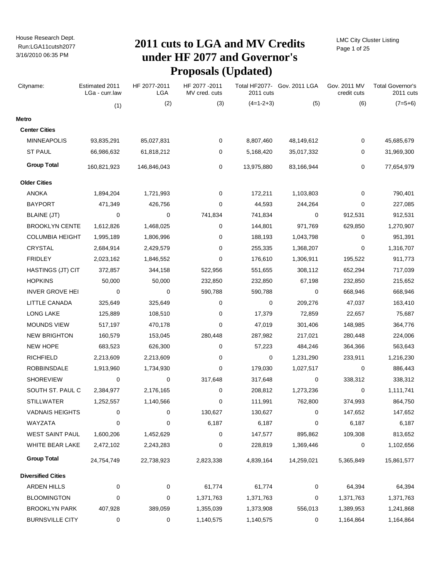# Run:LGA11cutsh2077 **2011 cuts to LGA and MV Credits under HF 2077 and Governor's Proposals (Updated)**

LMC City Cluster Listing Page 1 of 25

| Cityname:                 | Estimated 2011<br>LGa - curr.law | HF 2077-2011<br>LGA | HF 2077 - 2011<br>MV cred. cuts | 2011 cuts   | Total HF2077- Gov. 2011 LGA | Gov. 2011 MV<br>credit cuts | <b>Total Governor's</b><br>2011 cuts |
|---------------------------|----------------------------------|---------------------|---------------------------------|-------------|-----------------------------|-----------------------------|--------------------------------------|
|                           | (1)                              | (2)                 | (3)                             | $(4=1-2+3)$ | (5)                         | (6)                         | $(7=5+6)$                            |
| Metro                     |                                  |                     |                                 |             |                             |                             |                                      |
| <b>Center Cities</b>      |                                  |                     |                                 |             |                             |                             |                                      |
| <b>MINNEAPOLIS</b>        | 93,835,291                       | 85,027,831          | 0                               | 8,807,460   | 48,149,612                  | 0                           | 45,685,679                           |
| <b>ST PAUL</b>            | 66,986,632                       | 61,818,212          | 0                               | 5,168,420   | 35,017,332                  | 0                           | 31,969,300                           |
| <b>Group Total</b>        | 160,821,923                      | 146,846,043         | 0                               | 13,975,880  | 83,166,944                  | 0                           | 77,654,979                           |
| <b>Older Cities</b>       |                                  |                     |                                 |             |                             |                             |                                      |
| ANOKA                     | 1,894,204                        | 1,721,993           | 0                               | 172,211     | 1,103,803                   | 0                           | 790,401                              |
| <b>BAYPORT</b>            | 471,349                          | 426,756             | 0                               | 44,593      | 244,264                     | 0                           | 227,085                              |
| BLAINE (JT)               | 0                                | 0                   | 741,834                         | 741,834     | 0                           | 912,531                     | 912,531                              |
| <b>BROOKLYN CENTE</b>     | 1,612,826                        | 1,468,025           | 0                               | 144,801     | 971,769                     | 629,850                     | 1,270,907                            |
| <b>COLUMBIA HEIGHT</b>    | 1,995,189                        | 1,806,996           | 0                               | 188,193     | 1,043,798                   | 0                           | 951,391                              |
| CRYSTAL                   | 2,684,914                        | 2,429,579           | 0                               | 255,335     | 1,368,207                   | 0                           | 1,316,707                            |
| <b>FRIDLEY</b>            | 2,023,162                        | 1,846,552           | 0                               | 176,610     | 1,306,911                   | 195,522                     | 911,773                              |
| HASTINGS (JT) CIT         | 372,857                          | 344,158             | 522,956                         | 551,655     | 308,112                     | 652,294                     | 717,039                              |
| <b>HOPKINS</b>            | 50,000                           | 50,000              | 232,850                         | 232,850     | 67,198                      | 232,850                     | 215,652                              |
| <b>INVER GROVE HEI</b>    | 0                                | 0                   | 590,788                         | 590,788     | 0                           | 668,946                     | 668,946                              |
| LITTLE CANADA             | 325,649                          | 325,649             | 0                               | 0           | 209,276                     | 47,037                      | 163,410                              |
| <b>LONG LAKE</b>          | 125,889                          | 108,510             | 0                               | 17,379      | 72,859                      | 22,657                      | 75,687                               |
| <b>MOUNDS VIEW</b>        | 517,197                          | 470,178             | 0                               | 47,019      | 301,406                     | 148,985                     | 364,776                              |
| <b>NEW BRIGHTON</b>       | 160,579                          | 153,045             | 280,448                         | 287,982     | 217,021                     | 280,448                     | 224,006                              |
| <b>NEW HOPE</b>           | 683,523                          | 626,300             | 0                               | 57,223      | 484,246                     | 364,366                     | 563,643                              |
| <b>RICHFIELD</b>          | 2,213,609                        | 2,213,609           | 0                               | 0           | 1,231,290                   | 233,911                     | 1,216,230                            |
| ROBBINSDALE               | 1,913,960                        | 1,734,930           | 0                               | 179,030     | 1,027,517                   | 0                           | 886,443                              |
| <b>SHOREVIEW</b>          | 0                                | 0                   | 317,648                         | 317,648     | 0                           | 338,312                     | 338,312                              |
| SOUTH ST. PAUL C          | 2,384,977                        | 2,176,165           | 0                               | 208,812     | 1,273,236                   | 0                           | 1,111,741                            |
| <b>STILLWATER</b>         | 1,252,557                        | 1,140,566           | 0                               | 111,991     | 762,800                     | 374,993                     | 864,750                              |
| <b>VADNAIS HEIGHTS</b>    | 0                                | 0                   | 130,627                         | 130,627     | 0                           | 147,652                     | 147,652                              |
| WAYZATA                   | 0                                | 0                   | 6,187                           | 6,187       | 0                           | 6,187                       | 6,187                                |
| WEST SAINT PAUL           | 1,600,206                        | 1,452,629           | 0                               | 147,577     | 895,862                     | 109,308                     | 813,652                              |
| WHITE BEAR LAKE           | 2,472,102                        | 2,243,283           | 0                               | 228,819     | 1,369,446                   | 0                           | 1,102,656                            |
| <b>Group Total</b>        | 24,754,749                       | 22,738,923          | 2,823,338                       | 4,839,164   | 14,259,021                  | 5,365,849                   | 15,861,577                           |
| <b>Diversified Cities</b> |                                  |                     |                                 |             |                             |                             |                                      |
| <b>ARDEN HILLS</b>        | 0                                | 0                   | 61,774                          | 61,774      | 0                           | 64,394                      | 64,394                               |
| <b>BLOOMINGTON</b>        | 0                                | 0                   | 1,371,763                       | 1,371,763   | 0                           | 1,371,763                   | 1,371,763                            |
| <b>BROOKLYN PARK</b>      | 407,928                          | 389,059             | 1,355,039                       | 1,373,908   | 556,013                     | 1,389,953                   | 1,241,868                            |
| <b>BURNSVILLE CITY</b>    | 0                                | 0                   | 1,140,575                       | 1,140,575   | 0                           | 1,164,864                   | 1,164,864                            |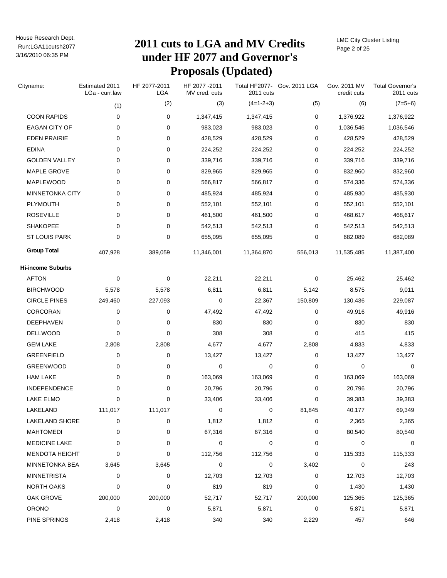# Run:LGA11cutsh2077 **2011 cuts to LGA and MV Credits under HF 2077 and Governor's Proposals (Updated)**

LMC City Cluster Listing Page 2 of 25

| Cityname:                | Estimated 2011<br>LGa - curr.law | HF 2077-2011<br>LGA | HF 2077-2011<br>MV cred. cuts | Total HF2077-<br>2011 cuts | Gov. 2011 LGA | Gov. 2011 MV<br>credit cuts | <b>Total Governor's</b><br>2011 cuts |
|--------------------------|----------------------------------|---------------------|-------------------------------|----------------------------|---------------|-----------------------------|--------------------------------------|
|                          | (1)                              | (2)                 | (3)                           | $(4=1-2+3)$                | (5)           | (6)                         | $(7=5+6)$                            |
| <b>COON RAPIDS</b>       | 0                                | 0                   | 1,347,415                     | 1,347,415                  | 0             | 1,376,922                   | 1,376,922                            |
| EAGAN CITY OF            | 0                                | 0                   | 983,023                       | 983,023                    | 0             | 1,036,546                   | 1,036,546                            |
| <b>EDEN PRAIRIE</b>      | 0                                | 0                   | 428,529                       | 428,529                    | 0             | 428,529                     | 428,529                              |
| <b>EDINA</b>             | 0                                | 0                   | 224,252                       | 224,252                    | 0             | 224,252                     | 224,252                              |
| <b>GOLDEN VALLEY</b>     | 0                                | 0                   | 339,716                       | 339,716                    | 0             | 339,716                     | 339,716                              |
| MAPLE GROVE              | 0                                | 0                   | 829,965                       | 829,965                    | 0             | 832,960                     | 832,960                              |
| MAPLEWOOD                | 0                                | 0                   | 566,817                       | 566,817                    | 0             | 574,336                     | 574,336                              |
| MINNETONKA CITY          | 0                                | 0                   | 485,924                       | 485,924                    | 0             | 485,930                     | 485,930                              |
| PLYMOUTH                 | 0                                | 0                   | 552,101                       | 552,101                    | 0             | 552,101                     | 552,101                              |
| <b>ROSEVILLE</b>         | 0                                | 0                   | 461,500                       | 461,500                    | 0             | 468,617                     | 468,617                              |
| <b>SHAKOPEE</b>          | 0                                | 0                   | 542,513                       | 542,513                    | 0             | 542,513                     | 542,513                              |
| ST LOUIS PARK            | 0                                | 0                   | 655,095                       | 655,095                    | 0             | 682,089                     | 682,089                              |
| <b>Group Total</b>       | 407,928                          | 389,059             | 11,346,001                    | 11,364,870                 | 556,013       | 11,535,485                  | 11,387,400                           |
| <b>Hi-income Suburbs</b> |                                  |                     |                               |                            |               |                             |                                      |
| <b>AFTON</b>             | 0                                | 0                   | 22,211                        | 22,211                     | 0             | 25,462                      | 25,462                               |
| <b>BIRCHWOOD</b>         | 5,578                            | 5,578               | 6,811                         | 6,811                      | 5,142         | 8,575                       | 9,011                                |
| <b>CIRCLE PINES</b>      | 249,460                          | 227,093             | 0                             | 22,367                     | 150,809       | 130,436                     | 229,087                              |
| <b>CORCORAN</b>          | 0                                | 0                   | 47,492                        | 47,492                     | 0             | 49,916                      | 49,916                               |
| DEEPHAVEN                | 0                                | 0                   | 830                           | 830                        | 0             | 830                         | 830                                  |
| DELLWOOD                 | 0                                | 0                   | 308                           | 308                        | 0             | 415                         | 415                                  |
| <b>GEM LAKE</b>          | 2,808                            | 2,808               | 4,677                         | 4,677                      | 2,808         | 4,833                       | 4,833                                |
| <b>GREENFIELD</b>        | 0                                | 0                   | 13,427                        | 13,427                     | 0             | 13,427                      | 13,427                               |
| <b>GREENWOOD</b>         | 0                                | 0                   | 0                             | 0                          | 0             | 0                           | 0                                    |
| <b>HAM LAKE</b>          | 0                                | 0                   | 163,069                       | 163,069                    | 0             | 163,069                     | 163,069                              |
| INDEPENDENCE             | 0                                | 0                   | 20,796                        | 20,796                     | 0             | 20,796                      | 20,796                               |
| <b>LAKE ELMO</b>         | 0                                | 0                   | 33,406                        | 33,406                     | 0             | 39,383                      | 39,383                               |
| LAKELAND                 | 111,017                          | 111,017             | 0                             | 0                          | 81,845        | 40,177                      | 69,349                               |
| <b>LAKELAND SHORE</b>    | 0                                | 0                   | 1,812                         | 1,812                      | 0             | 2,365                       | 2,365                                |
| <b>MAHTOMEDI</b>         | 0                                | 0                   | 67,316                        | 67,316                     | 0             | 80,540                      | 80,540                               |
| <b>MEDICINE LAKE</b>     | 0                                | 0                   | 0                             | 0                          | 0             | 0                           | 0                                    |
| <b>MENDOTA HEIGHT</b>    | 0                                | 0                   | 112,756                       | 112,756                    | 0             | 115,333                     | 115,333                              |
| MINNETONKA BEA           | 3,645                            | 3,645               | 0                             | 0                          | 3,402         | 0                           | 243                                  |
| <b>MINNETRISTA</b>       | 0                                | 0                   | 12,703                        | 12,703                     | 0             | 12,703                      | 12,703                               |
| NORTH OAKS               | 0                                | 0                   | 819                           | 819                        | 0             | 1,430                       | 1,430                                |
| OAK GROVE                | 200,000                          | 200,000             | 52,717                        | 52,717                     | 200,000       | 125,365                     | 125,365                              |
| <b>ORONO</b>             | 0                                | 0                   | 5,871                         | 5,871                      | 0             | 5,871                       | 5,871                                |
| PINE SPRINGS             | 2,418                            | 2,418               | 340                           | 340                        | 2,229         | 457                         | 646                                  |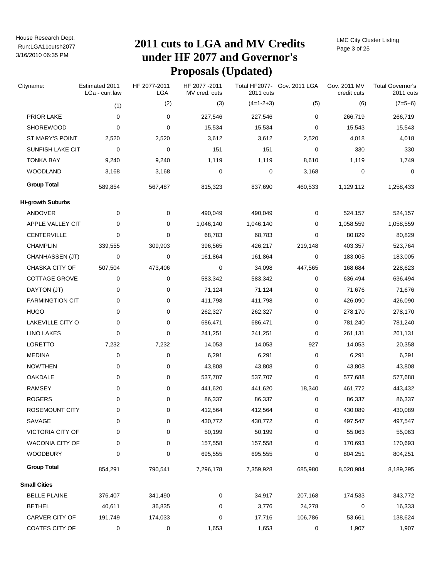# Run:LGA11cutsh2077 **2011 cuts to LGA and MV Credits under HF 2077 and Governor's Proposals (Updated)**

LMC City Cluster Listing Page 3 of 25

| Cityname:                | Estimated 2011<br>LGa - curr.law | HF 2077-2011<br><b>LGA</b> | HF 2077-2011<br>MV cred. cuts | 2011 cuts   | Total HF2077- Gov. 2011 LGA | Gov. 2011 MV<br>credit cuts | <b>Total Governor's</b><br>2011 cuts |
|--------------------------|----------------------------------|----------------------------|-------------------------------|-------------|-----------------------------|-----------------------------|--------------------------------------|
|                          | (1)                              | (2)                        | (3)                           | $(4=1-2+3)$ | (5)                         | (6)                         | $(7=5+6)$                            |
| PRIOR LAKE               | 0                                | 0                          | 227,546                       | 227,546     | 0                           | 266,719                     | 266,719                              |
| <b>SHOREWOOD</b>         | 0                                | 0                          | 15,534                        | 15,534      | 0                           | 15,543                      | 15,543                               |
| ST MARY'S POINT          | 2,520                            | 2,520                      | 3,612                         | 3,612       | 2,520                       | 4,018                       | 4,018                                |
| SUNFISH LAKE CIT         | 0                                | 0                          | 151                           | 151         | 0                           | 330                         | 330                                  |
| <b>TONKA BAY</b>         | 9,240                            | 9,240                      | 1,119                         | 1,119       | 8,610                       | 1,119                       | 1,749                                |
| <b>WOODLAND</b>          | 3,168                            | 3,168                      | 0                             | 0           | 3,168                       | 0                           | 0                                    |
| <b>Group Total</b>       | 589,854                          | 567,487                    | 815,323                       | 837,690     | 460,533                     | 1,129,112                   | 1,258,433                            |
| <b>Hi-growth Suburbs</b> |                                  |                            |                               |             |                             |                             |                                      |
| ANDOVER                  | 0                                | 0                          | 490,049                       | 490,049     | 0                           | 524,157                     | 524,157                              |
| APPLE VALLEY CIT         | 0                                | 0                          | 1,046,140                     | 1,046,140   | 0                           | 1,058,559                   | 1,058,559                            |
| CENTERVILLE              | 0                                | 0                          | 68,783                        | 68,783      | 0                           | 80,829                      | 80,829                               |
| <b>CHAMPLIN</b>          | 339,555                          | 309,903                    | 396,565                       | 426,217     | 219,148                     | 403,357                     | 523,764                              |
| CHANHASSEN (JT)          | 0                                | 0                          | 161,864                       | 161,864     | 0                           | 183,005                     | 183,005                              |
| CHASKA CITY OF           | 507,504                          | 473,406                    | 0                             | 34,098      | 447,565                     | 168,684                     | 228,623                              |
| COTTAGE GROVE            | 0                                | 0                          | 583,342                       | 583,342     | 0                           | 636,494                     | 636,494                              |
| DAYTON (JT)              | 0                                | 0                          | 71,124                        | 71,124      | 0                           | 71,676                      | 71,676                               |
| <b>FARMINGTION CIT</b>   | 0                                | 0                          | 411,798                       | 411,798     | 0                           | 426,090                     | 426,090                              |
| <b>HUGO</b>              | 0                                | 0                          | 262,327                       | 262,327     | 0                           | 278,170                     | 278,170                              |
| LAKEVILLE CITY O         | 0                                | 0                          | 686,471                       | 686,471     | 0                           | 781,240                     | 781,240                              |
| <b>LINO LAKES</b>        | 0                                | 0                          | 241,251                       | 241,251     | 0                           | 261,131                     | 261,131                              |
| LORETTO                  | 7,232                            | 7,232                      | 14,053                        | 14,053      | 927                         | 14,053                      | 20,358                               |
| <b>MEDINA</b>            | 0                                | 0                          | 6,291                         | 6,291       | 0                           | 6,291                       | 6,291                                |
| <b>NOWTHEN</b>           | 0                                | 0                          | 43,808                        | 43,808      | 0                           | 43,808                      | 43,808                               |
| OAKDALE                  | 0                                | 0                          | 537,707                       | 537,707     | 0                           | 577,688                     | 577,688                              |
| <b>RAMSEY</b>            | 0                                | 0                          | 441,620                       | 441,620     | 18,340                      | 461,772                     | 443,432                              |
| <b>ROGERS</b>            | 0                                | 0                          | 86,337                        | 86,337      | 0                           | 86,337                      | 86,337                               |
| ROSEMOUNT CITY           | 0                                | 0                          | 412,564                       | 412,564     | 0                           | 430,089                     | 430,089                              |
| SAVAGE                   | 0                                | 0                          | 430,772                       | 430,772     | 0                           | 497,547                     | 497,547                              |
| VICTORIA CITY OF         | 0                                | 0                          | 50,199                        | 50,199      | 0                           | 55,063                      | 55,063                               |
| <b>WACONIA CITY OF</b>   | 0                                | 0                          | 157,558                       | 157,558     | 0                           | 170,693                     | 170,693                              |
| <b>WOODBURY</b>          | 0                                | 0                          | 695,555                       | 695,555     | 0                           | 804,251                     | 804,251                              |
| <b>Group Total</b>       | 854,291                          | 790,541                    | 7,296,178                     | 7,359,928   | 685,980                     | 8,020,984                   | 8,189,295                            |
| <b>Small Cities</b>      |                                  |                            |                               |             |                             |                             |                                      |
| <b>BELLE PLAINE</b>      | 376,407                          | 341,490                    | 0                             | 34,917      | 207,168                     | 174,533                     | 343,772                              |
| <b>BETHEL</b>            | 40,611                           | 36,835                     | 0                             | 3,776       | 24,278                      | 0                           | 16,333                               |
| CARVER CITY OF           | 191,749                          | 174,033                    | 0                             | 17,716      | 106,786                     | 53,661                      | 138,624                              |
| COATES CITY OF           | 0                                | 0                          | 1,653                         | 1,653       | 0                           | 1,907                       | 1,907                                |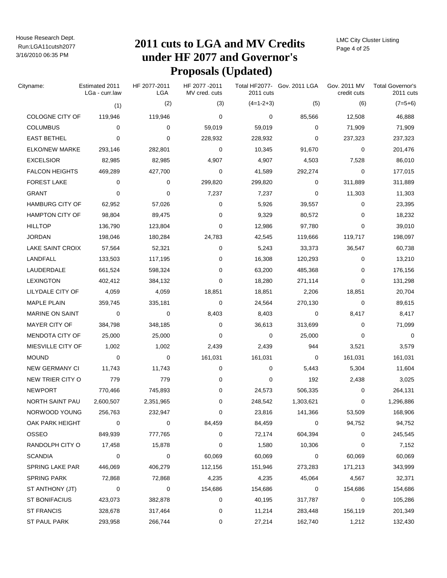# Run:LGA11cutsh2077 **2011 cuts to LGA and MV Credits under HF 2077 and Governor's Proposals (Updated)**

LMC City Cluster Listing Page 4 of 25

| Cityname:                | Estimated 2011<br>LGa - curr.law | HF 2077-2011<br>LGA | HF 2077-2011<br>MV cred. cuts | 2011 cuts   | Total HF2077- Gov. 2011 LGA | Gov. 2011 MV<br>credit cuts | <b>Total Governor's</b><br>2011 cuts |
|--------------------------|----------------------------------|---------------------|-------------------------------|-------------|-----------------------------|-----------------------------|--------------------------------------|
|                          | (1)                              | (2)                 | (3)                           | $(4=1-2+3)$ | (5)                         | (6)                         | $(7=5+6)$                            |
| COLOGNE CITY OF          | 119,946                          | 119,946             | 0                             | 0           | 85,566                      | 12,508                      | 46,888                               |
| <b>COLUMBUS</b>          | 0                                | 0                   | 59,019                        | 59,019      | 0                           | 71,909                      | 71,909                               |
| <b>EAST BETHEL</b>       | 0                                | 0                   | 228,932                       | 228,932     | $\Omega$                    | 237,323                     | 237,323                              |
| ELKO/NEW MARKE           | 293,146                          | 282,801             | 0                             | 10,345      | 91,670                      | 0                           | 201,476                              |
| <b>EXCELSIOR</b>         | 82,985                           | 82,985              | 4,907                         | 4,907       | 4,503                       | 7,528                       | 86,010                               |
| <b>FALCON HEIGHTS</b>    | 469,289                          | 427,700             | 0                             | 41,589      | 292,274                     | 0                           | 177,015                              |
| <b>FOREST LAKE</b>       | 0                                | 0                   | 299,820                       | 299,820     | $\Omega$                    | 311,889                     | 311,889                              |
| <b>GRANT</b>             | 0                                | 0                   | 7,237                         | 7,237       | 0                           | 11,303                      | 11,303                               |
| <b>HAMBURG CITY OF</b>   | 62,952                           | 57,026              | 0                             | 5,926       | 39,557                      | 0                           | 23,395                               |
| <b>HAMPTON CITY OF</b>   | 98,804                           | 89,475              | 0                             | 9,329       | 80,572                      | 0                           | 18,232                               |
| <b>HILLTOP</b>           | 136,790                          | 123,804             | $\mathbf 0$                   | 12,986      | 97,780                      | 0                           | 39,010                               |
| JORDAN                   | 198,046                          | 180,284             | 24,783                        | 42,545      | 119,666                     | 119,717                     | 198,097                              |
| LAKE SAINT CROIX         | 57,564                           | 52,321              | 0                             | 5,243       | 33,373                      | 36,547                      | 60,738                               |
| LANDFALL                 | 133,503                          | 117,195             | 0                             | 16,308      | 120,293                     | 0                           | 13,210                               |
| LAUDERDALE               | 661,524                          | 598,324             | 0                             | 63,200      | 485,368                     | 0                           | 176,156                              |
| <b>LEXINGTON</b>         | 402,412                          | 384,132             | 0                             | 18,280      | 271,114                     | 0                           | 131,298                              |
| LILYDALE CITY OF         | 4,059                            | 4,059               | 18,851                        | 18,851      | 2,206                       | 18,851                      | 20,704                               |
| <b>MAPLE PLAIN</b>       | 359,745                          | 335,181             | 0                             | 24,564      | 270,130                     | 0                           | 89,615                               |
| <b>MARINE ON SAINT</b>   | 0                                | 0                   | 8,403                         | 8,403       | 0                           | 8,417                       | 8,417                                |
| MAYER CITY OF            | 384,798                          | 348,185             | 0                             | 36,613      | 313,699                     | 0                           | 71,099                               |
| <b>MENDOTA CITY OF</b>   | 25,000                           | 25,000              | 0                             | 0           | 25,000                      | 0                           | 0                                    |
| <b>MIESVILLE CITY OF</b> | 1,002                            | 1,002               | 2,439                         | 2,439       | 944                         | 3,521                       | 3,579                                |
| <b>MOUND</b>             | 0                                | 0                   | 161,031                       | 161,031     | 0                           | 161,031                     | 161,031                              |
| <b>NEW GERMANY CI</b>    | 11,743                           | 11,743              | 0                             | 0           | 5,443                       | 5,304                       | 11,604                               |
| NEW TRIER CITY O         | 779                              | 779                 | 0                             | 0           | 192                         | 2,438                       | 3,025                                |
| <b>NEWPORT</b>           | 770,466                          | 745,893             | 0                             | 24,573      | 506,335                     | 0                           | 264,131                              |
| NORTH SAINT PAU          | 2,600,507                        | 2,351,965           | 0                             | 248,542     | 1,303,621                   | 0                           | 1,296,886                            |
| NORWOOD YOUNG            | 256,763                          | 232,947             | 0                             | 23,816      | 141,366                     | 53,509                      | 168,906                              |
| OAK PARK HEIGHT          | 0                                | 0                   | 84,459                        | 84,459      | 0                           | 94,752                      | 94,752                               |
| OSSEO                    | 849,939                          | 777,765             | 0                             | 72,174      | 604,394                     | 0                           | 245,545                              |
| RANDOLPH CITY O          | 17,458                           | 15,878              | 0                             | 1,580       | 10,306                      | 0                           | 7,152                                |
| <b>SCANDIA</b>           | 0                                | 0                   | 60,069                        | 60,069      | 0                           | 60,069                      | 60,069                               |
| SPRING LAKE PAR          | 446,069                          | 406,279             | 112,156                       | 151,946     | 273,283                     | 171,213                     | 343,999                              |
| <b>SPRING PARK</b>       | 72,868                           | 72,868              | 4,235                         | 4,235       | 45,064                      | 4,567                       | 32,371                               |
| ST ANTHONY (JT)          | 0                                | 0                   | 154,686                       | 154,686     | 0                           | 154,686                     | 154,686                              |
| <b>ST BONIFACIUS</b>     | 423,073                          | 382,878             | 0                             | 40,195      | 317,787                     | 0                           | 105,286                              |
| <b>ST FRANCIS</b>        | 328,678                          | 317,464             | 0                             | 11,214      | 283,448                     | 156,119                     | 201,349                              |
| ST PAUL PARK             | 293,958                          | 266,744             | 0                             | 27,214      | 162,740                     | 1,212                       | 132,430                              |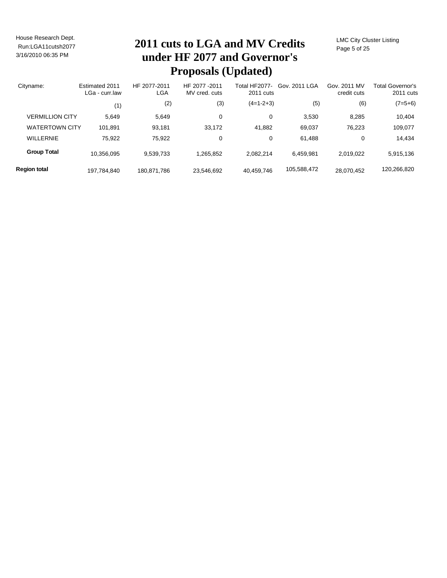# Run:LGA11cutsh2077 **2011 cuts to LGA and MV Credits under HF 2077 and Governor's Proposals (Updated)**

LMC City Cluster Listing Page 5 of 25

| Cityname:              | Estimated 2011<br>LGa - curr.law | HF 2077-2011<br>LGA | HF 2077-2011<br>MV cred. cuts | Total HF2077-<br>2011 cuts | Gov. 2011 LGA | Gov. 2011 MV<br>credit cuts | <b>Total Governor's</b><br>2011 cuts |
|------------------------|----------------------------------|---------------------|-------------------------------|----------------------------|---------------|-----------------------------|--------------------------------------|
|                        | (1)                              | (2)                 | (3)                           | $(4=1-2+3)$                | (5)           | (6)                         | $(7=5+6)$                            |
| <b>VERMILLION CITY</b> | 5.649                            | 5,649               | 0                             | 0                          | 3,530         | 8,285                       | 10,404                               |
| <b>WATERTOWN CITY</b>  | 101,891                          | 93,181              | 33,172                        | 41,882                     | 69,037        | 76,223                      | 109,077                              |
| <b>WILLERNIE</b>       | 75.922                           | 75,922              | 0                             | 0                          | 61.488        | 0                           | 14,434                               |
| <b>Group Total</b>     | 10,356,095                       | 9,539,733           | 1,265,852                     | 2.082.214                  | 6,459,981     | 2,019,022                   | 5,915,136                            |
| <b>Region total</b>    | 197,784,840                      | 180.871.786         | 23.546.692                    | 40,459,746                 | 105,588,472   | 28.070.452                  | 120,266,820                          |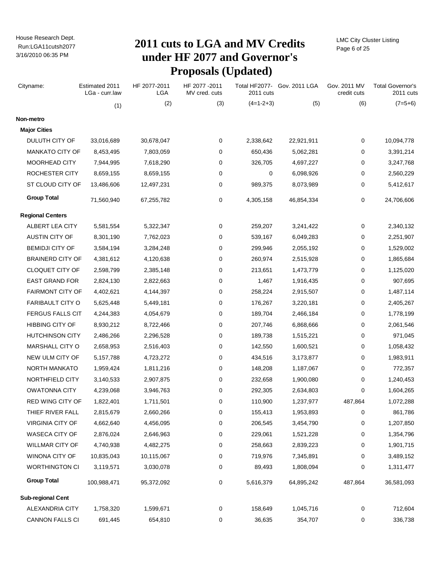# Run:LGA11cutsh2077 **2011 cuts to LGA and MV Credits under HF 2077 and Governor's Proposals (Updated)**

LMC City Cluster Listing Page 6 of 25

| Cityname:                | Estimated 2011<br>LGa - curr.law | HF 2077-2011<br><b>LGA</b> | HF 2077-2011<br>MV cred. cuts | 2011 cuts   | Total HF2077- Gov. 2011 LGA | Gov. 2011 MV<br>credit cuts | <b>Total Governor's</b><br>2011 cuts |
|--------------------------|----------------------------------|----------------------------|-------------------------------|-------------|-----------------------------|-----------------------------|--------------------------------------|
|                          | (1)                              | (2)                        | (3)                           | $(4=1-2+3)$ | (5)                         | (6)                         | $(7=5+6)$                            |
| Non-metro                |                                  |                            |                               |             |                             |                             |                                      |
| <b>Major Cities</b>      |                                  |                            |                               |             |                             |                             |                                      |
| DULUTH CITY OF           | 33,016,689                       | 30,678,047                 | 0                             | 2,338,642   | 22,921,911                  | 0                           | 10,094,778                           |
| <b>MANKATO CITY OF</b>   | 8,453,495                        | 7,803,059                  | 0                             | 650,436     | 5,062,281                   | 0                           | 3,391,214                            |
| MOORHEAD CITY            | 7,944,995                        | 7,618,290                  | 0                             | 326,705     | 4,697,227                   | 0                           | 3,247,768                            |
| <b>ROCHESTER CITY</b>    | 8,659,155                        | 8,659,155                  | 0                             | 0           | 6,098,926                   | 0                           | 2,560,229                            |
| ST CLOUD CITY OF         | 13,486,606                       | 12,497,231                 | 0                             | 989,375     | 8,073,989                   | 0                           | 5,412,617                            |
| <b>Group Total</b>       | 71,560,940                       | 67,255,782                 | 0                             | 4,305,158   | 46,854,334                  | 0                           | 24,706,606                           |
| <b>Regional Centers</b>  |                                  |                            |                               |             |                             |                             |                                      |
| ALBERT LEA CITY          | 5,581,554                        | 5,322,347                  | 0                             | 259,207     | 3,241,422                   | 0                           | 2,340,132                            |
| <b>AUSTIN CITY OF</b>    | 8,301,190                        | 7,762,023                  | 0                             | 539,167     | 6,049,283                   | 0                           | 2,251,907                            |
| <b>BEMIDJI CITY OF</b>   | 3,584,194                        | 3,284,248                  | 0                             | 299,946     | 2,055,192                   | 0                           | 1,529,002                            |
| <b>BRAINERD CITY OF</b>  | 4,381,612                        | 4,120,638                  | 0                             | 260,974     | 2,515,928                   | 0                           | 1,865,684                            |
| CLOQUET CITY OF          | 2,598,799                        | 2,385,148                  | 0                             | 213,651     | 1,473,779                   | 0                           | 1,125,020                            |
| <b>EAST GRAND FOR</b>    | 2,824,130                        | 2,822,663                  | 0                             | 1,467       | 1,916,435                   | 0                           | 907,695                              |
| <b>FAIRMONT CITY OF</b>  | 4,402,621                        | 4,144,397                  | 0                             | 258,224     | 2,915,507                   | 0                           | 1,487,114                            |
| <b>FARIBAULT CITY O</b>  | 5,625,448                        | 5,449,181                  | 0                             | 176,267     | 3,220,181                   | 0                           | 2,405,267                            |
| <b>FERGUS FALLS CIT</b>  | 4,244,383                        | 4,054,679                  | 0                             | 189,704     | 2,466,184                   | 0                           | 1,778,199                            |
| <b>HIBBING CITY OF</b>   | 8,930,212                        | 8,722,466                  | 0                             | 207,746     | 6,868,666                   | 0                           | 2,061,546                            |
| <b>HUTCHINSON CITY</b>   | 2,486,266                        | 2,296,528                  | 0                             | 189,738     | 1,515,221                   | 0                           | 971,045                              |
| MARSHALL CITY O          | 2,658,953                        | 2,516,403                  | 0                             | 142,550     | 1,600,521                   | 0                           | 1,058,432                            |
| NEW ULM CITY OF          | 5,157,788                        | 4,723,272                  | 0                             | 434,516     | 3,173,877                   | 0                           | 1,983,911                            |
| NORTH MANKATO            | 1,959,424                        | 1,811,216                  | 0                             | 148,208     | 1,187,067                   | 0                           | 772,357                              |
| NORTHFIELD CITY          | 3,140,533                        | 2,907,875                  | 0                             | 232,658     | 1,900,080                   | 0                           | 1,240,453                            |
| <b>OWATONNA CITY</b>     | 4,239,068                        | 3,946,763                  | 0                             | 292,305     | 2,634,803                   | 0                           | 1,604,265                            |
| RED WING CITY OF         | 1,822,401                        | 1,711,501                  | 0                             | 110,900     | 1,237,977                   | 487,864                     | 1,072,288                            |
| THIEF RIVER FALL         | 2,815,679                        | 2,660,266                  | 0                             | 155,413     | 1,953,893                   | 0                           | 861,786                              |
| <b>VIRGINIA CITY OF</b>  | 4,662,640                        | 4,456,095                  | 0                             | 206,545     | 3,454,790                   | 0                           | 1,207,850                            |
| <b>WASECA CITY OF</b>    | 2,876,024                        | 2,646,963                  | 0                             | 229,061     | 1,521,228                   | 0                           | 1,354,796                            |
| WILLMAR CITY OF          | 4,740,938                        | 4,482,275                  | 0                             | 258,663     | 2,839,223                   | 0                           | 1,901,715                            |
| <b>WINONA CITY OF</b>    | 10,835,043                       | 10,115,067                 | 0                             | 719,976     | 7,345,891                   | 0                           | 3,489,152                            |
| <b>WORTHINGTON CI</b>    | 3,119,571                        | 3,030,078                  | 0                             | 89,493      | 1,808,094                   | 0                           | 1,311,477                            |
| <b>Group Total</b>       | 100,988,471                      | 95,372,092                 | 0                             | 5,616,379   | 64,895,242                  | 487,864                     | 36,581,093                           |
| <b>Sub-regional Cent</b> |                                  |                            |                               |             |                             |                             |                                      |
| ALEXANDRIA CITY          | 1,758,320                        | 1,599,671                  | $\mathbf 0$                   | 158,649     | 1,045,716                   | 0                           | 712,604                              |
| CANNON FALLS CI          | 691,445                          | 654,810                    | 0                             | 36,635      | 354,707                     | 0                           | 336,738                              |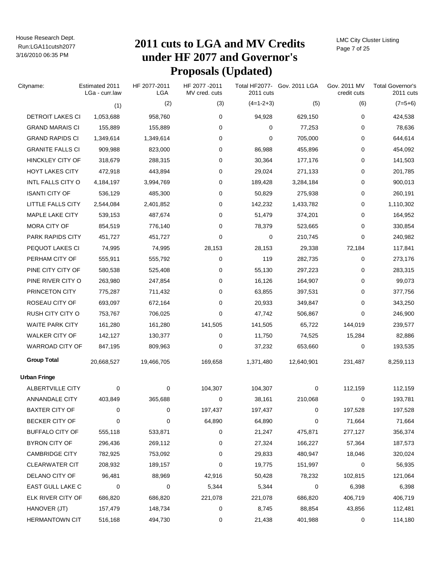# Run:LGA11cutsh2077 **2011 cuts to LGA and MV Credits under HF 2077 and Governor's Proposals (Updated)**

LMC City Cluster Listing Page 7 of 25

| Cityname:               | Estimated 2011<br>LGa - curr.law | HF 2077-2011<br>LGA | HF 2077-2011<br>MV cred. cuts | 2011 cuts   | Total HF2077- Gov. 2011 LGA | Gov. 2011 MV<br>credit cuts | <b>Total Governor's</b><br>2011 cuts |
|-------------------------|----------------------------------|---------------------|-------------------------------|-------------|-----------------------------|-----------------------------|--------------------------------------|
|                         | (1)                              | (2)                 | (3)                           | $(4=1-2+3)$ | (5)                         | (6)                         | $(7=5+6)$                            |
| DETROIT LAKES CI        | 1,053,688                        | 958,760             | 0                             | 94,928      | 629,150                     | 0                           | 424,538                              |
| <b>GRAND MARAIS CI</b>  | 155,889                          | 155,889             | 0                             | 0           | 77,253                      | 0                           | 78,636                               |
| <b>GRAND RAPIDS CI</b>  | 1,349,614                        | 1,349,614           | 0                             | 0           | 705,000                     | 0                           | 644,614                              |
| <b>GRANITE FALLS CI</b> | 909,988                          | 823,000             | 0                             | 86,988      | 455,896                     | 0                           | 454,092                              |
| <b>HINCKLEY CITY OF</b> | 318,679                          | 288,315             | 0                             | 30,364      | 177,176                     | 0                           | 141,503                              |
| <b>HOYT LAKES CITY</b>  | 472,918                          | 443,894             | 0                             | 29,024      | 271,133                     | 0                           | 201,785                              |
| INTL FALLS CITY O       | 4,184,197                        | 3,994,769           | 0                             | 189,428     | 3,284,184                   | 0                           | 900,013                              |
| <b>ISANTI CITY OF</b>   | 536,129                          | 485,300             | 0                             | 50,829      | 275,938                     | 0                           | 260,191                              |
| LITTLE FALLS CITY       | 2,544,084                        | 2,401,852           | 0                             | 142,232     | 1,433,782                   | 0                           | 1,110,302                            |
| MAPLE LAKE CITY         | 539,153                          | 487,674             | 0                             | 51,479      | 374,201                     | 0                           | 164,952                              |
| MORA CITY OF            | 854,519                          | 776,140             | 0                             | 78,379      | 523,665                     | 0                           | 330,854                              |
| PARK RAPIDS CITY        | 451,727                          | 451,727             | 0                             | 0           | 210,745                     | 0                           | 240,982                              |
| PEQUOT LAKES CI         | 74,995                           | 74,995              | 28,153                        | 28,153      | 29,338                      | 72,184                      | 117,841                              |
| PERHAM CITY OF          | 555,911                          | 555,792             | 0                             | 119         | 282,735                     | 0                           | 273,176                              |
| PINE CITY CITY OF       | 580,538                          | 525,408             | 0                             | 55,130      | 297,223                     | 0                           | 283,315                              |
| PINE RIVER CITY O       | 263,980                          | 247,854             | 0                             | 16,126      | 164,907                     | 0                           | 99,073                               |
| PRINCETON CITY          | 775,287                          | 711,432             | 0                             | 63,855      | 397,531                     | 0                           | 377,756                              |
| ROSEAU CITY OF          | 693,097                          | 672,164             | 0                             | 20,933      | 349,847                     | 0                           | 343,250                              |
| RUSH CITY CITY O        | 753,767                          | 706,025             | 0                             | 47,742      | 506,867                     | 0                           | 246,900                              |
| <b>WAITE PARK CITY</b>  | 161,280                          | 161,280             | 141,505                       | 141,505     | 65,722                      | 144,019                     | 239,577                              |
| <b>WALKER CITY OF</b>   | 142,127                          | 130,377             | 0                             | 11,750      | 74,525                      | 15,284                      | 82,886                               |
| <b>WARROAD CITY OF</b>  | 847,195                          | 809,963             | 0                             | 37,232      | 653,660                     | 0                           | 193,535                              |
| <b>Group Total</b>      | 20,668,527                       | 19,466,705          | 169,658                       | 1,371,480   | 12,640,901                  | 231,487                     | 8,259,113                            |
| Urban Fringe            |                                  |                     |                               |             |                             |                             |                                      |
| ALBERTVILLE CITY        | 0                                | 0                   | 104,307                       | 104,307     | 0                           | 112,159                     | 112,159                              |
| <b>ANNANDALE CITY</b>   | 403,849                          | 365,688             | 0                             | 38,161      | 210,068                     | 0                           | 193,781                              |
| <b>BAXTER CITY OF</b>   | 0                                | 0                   | 197,437                       | 197,437     | 0                           | 197,528                     | 197,528                              |
| <b>BECKER CITY OF</b>   | 0                                | 0                   | 64,890                        | 64,890      | 0                           | 71,664                      | 71,664                               |
| <b>BUFFALO CITY OF</b>  | 555,118                          | 533,871             | 0                             | 21,247      | 475,871                     | 277,127                     | 356,374                              |
| BYRON CITY OF           | 296,436                          | 269,112             | 0                             | 27,324      | 166,227                     | 57,364                      | 187,573                              |
| <b>CAMBRIDGE CITY</b>   | 782,925                          | 753,092             | 0                             | 29,833      | 480,947                     | 18,046                      | 320,024                              |
| <b>CLEARWATER CIT</b>   | 208,932                          | 189,157             | 0                             | 19,775      | 151,997                     | 0                           | 56,935                               |
| DELANO CITY OF          | 96,481                           | 88,969              | 42,916                        | 50,428      | 78,232                      | 102,815                     | 121,064                              |
| EAST GULL LAKE C        | 0                                | 0                   | 5,344                         | 5,344       | 0                           | 6,398                       | 6,398                                |
| ELK RIVER CITY OF       | 686,820                          | 686,820             | 221,078                       | 221,078     | 686,820                     | 406,719                     | 406,719                              |
| HANOVER (JT)            | 157,479                          | 148,734             | 0                             | 8,745       | 88,854                      | 43,856                      | 112,481                              |
| HERMANTOWN CIT          | 516,168                          | 494,730             | 0                             | 21,438      | 401,988                     | 0                           | 114,180                              |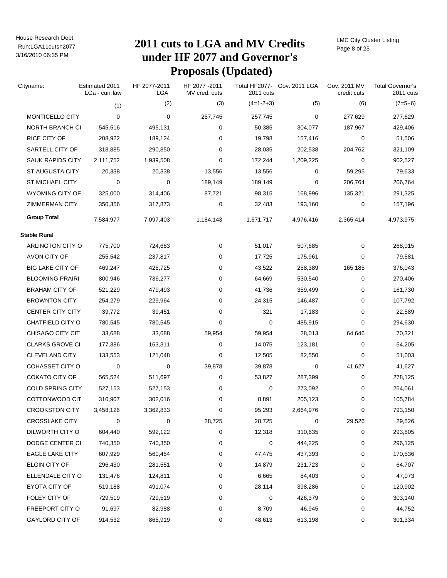# Run:LGA11cutsh2077 **2011 cuts to LGA and MV Credits under HF 2077 and Governor's Proposals (Updated)**

LMC City Cluster Listing Page 8 of 25

| Cityname:               | Estimated 2011<br>LGa - curr.law | HF 2077-2011<br>LGA | HF 2077-2011<br>MV cred. cuts | 2011 cuts   | Total HF2077- Gov. 2011 LGA | Gov. 2011 MV<br>credit cuts | <b>Total Governor's</b><br>2011 cuts |
|-------------------------|----------------------------------|---------------------|-------------------------------|-------------|-----------------------------|-----------------------------|--------------------------------------|
|                         | (1)                              | (2)                 | (3)                           | $(4=1-2+3)$ | (5)                         | (6)                         | $(7=5+6)$                            |
| MONTICELLO CITY         | $\Omega$                         | 0                   | 257,745                       | 257,745     | 0                           | 277,629                     | 277,629                              |
| NORTH BRANCH CI         | 545,516                          | 495,131             | 0                             | 50,385      | 304,077                     | 187,967                     | 429,406                              |
| RICE CITY OF            | 208,922                          | 189,124             | 0                             | 19,798      | 157,416                     | 0                           | 51,506                               |
| SARTELL CITY OF         | 318,885                          | 290,850             | 0                             | 28,035      | 202,538                     | 204,762                     | 321,109                              |
| <b>SAUK RAPIDS CITY</b> | 2,111,752                        | 1,939,508           | 0                             | 172,244     | 1,209,225                   | 0                           | 902,527                              |
| <b>ST AUGUSTA CITY</b>  | 20,338                           | 20,338              | 13,556                        | 13,556      | 0                           | 59,295                      | 79,633                               |
| <b>ST MICHAEL CITY</b>  | 0                                | 0                   | 189,149                       | 189,149     | 0                           | 206,764                     | 206,764                              |
| WYOMING CITY OF         | 325,000                          | 314,406             | 87,721                        | 98,315      | 168,996                     | 135,321                     | 291,325                              |
| <b>ZIMMERMAN CITY</b>   | 350,356                          | 317,873             | 0                             | 32,483      | 193,160                     | 0                           | 157,196                              |
| <b>Group Total</b>      | 7,584,977                        | 7,097,403           | 1,184,143                     | 1,671,717   | 4,976,416                   | 2,365,414                   | 4,973,975                            |
| <b>Stable Rural</b>     |                                  |                     |                               |             |                             |                             |                                      |
| ARLINGTON CITY O        | 775,700                          | 724,683             | 0                             | 51,017      | 507,685                     | 0                           | 268,015                              |
| AVON CITY OF            | 255,542                          | 237,817             | 0                             | 17,725      | 175,961                     | 0                           | 79,581                               |
| <b>BIG LAKE CITY OF</b> | 469,247                          | 425,725             | 0                             | 43,522      | 258,389                     | 165,185                     | 376,043                              |
| <b>BLOOMING PRAIRI</b>  | 800,946                          | 736,277             | 0                             | 64,669      | 530,540                     | 0                           | 270,406                              |
| <b>BRAHAM CITY OF</b>   | 521,229                          | 479,493             | 0                             | 41,736      | 359,499                     | 0                           | 161,730                              |
| <b>BROWNTON CITY</b>    | 254,279                          | 229,964             | 0                             | 24,315      | 146,487                     | 0                           | 107,792                              |
| <b>CENTER CITY CITY</b> | 39,772                           | 39,451              | 0                             | 321         | 17,183                      | 0                           | 22,589                               |
| CHATFIELD CITY O        | 780,545                          | 780,545             | 0                             | 0           | 485,915                     | 0                           | 294,630                              |
| CHISAGO CITY CIT        | 33,688                           | 33,688              | 59,954                        | 59,954      | 28,013                      | 64,646                      | 70,321                               |
| <b>CLARKS GROVE CI</b>  | 177,386                          | 163,311             | 0                             | 14,075      | 123,181                     | 0                           | 54,205                               |
| <b>CLEVELAND CITY</b>   | 133,553                          | 121,048             | 0                             | 12,505      | 82,550                      | 0                           | 51,003                               |
| <b>COHASSET CITY O</b>  | 0                                | 0                   | 39,878                        | 39,878      | 0                           | 41,627                      | 41,627                               |
| COKATO CITY OF          | 565,524                          | 511,697             | 0                             | 53,827      | 287,399                     | 0                           | 278,125                              |
| <b>COLD SPRING CITY</b> | 527,153                          | 527,153             | 0                             | 0           | 273,092                     | 0                           | 254,061                              |
| COTTONWOOD CIT          | 310,907                          | 302,016             | 0                             | 8,891       | 205,123                     | 0                           | 105,784                              |
| <b>CROOKSTON CITY</b>   | 3,458,126                        | 3,362,833           | 0                             | 95,293      | 2,664,976                   | 0                           | 793,150                              |
| CROSSLAKE CITY          | 0                                | 0                   | 28,725                        | 28,725      | 0                           | 29,526                      | 29,526                               |
| DILWORTH CITY O         | 604,440                          | 592,122             | 0                             | 12,318      | 310,635                     | 0                           | 293,805                              |
| DODGE CENTER CI         | 740,350                          | 740,350             | 0                             | 0           | 444,225                     | 0                           | 296,125                              |
| <b>EAGLE LAKE CITY</b>  | 607,929                          | 560,454             | 0                             | 47,475      | 437,393                     | 0                           | 170,536                              |
| ELGIN CITY OF           | 296,430                          | 281,551             | 0                             | 14,879      | 231,723                     | 0                           | 64,707                               |
| ELLENDALE CITY O        | 131,476                          | 124,811             | 0                             | 6,665       | 84,403                      | 0                           | 47,073                               |
| EYOTA CITY OF           | 519,188                          | 491,074             | 0                             | 28,114      | 398,286                     | 0                           | 120,902                              |
| FOLEY CITY OF           | 729,519                          | 729,519             | 0                             | 0           | 426,379                     | 0                           | 303,140                              |
| FREEPORT CITY O         | 91,697                           | 82,988              | 0                             | 8,709       | 46,945                      | 0                           | 44,752                               |
| GAYLORD CITY OF         | 914,532                          | 865,919             | 0                             | 48,613      | 613,198                     | 0                           | 301,334                              |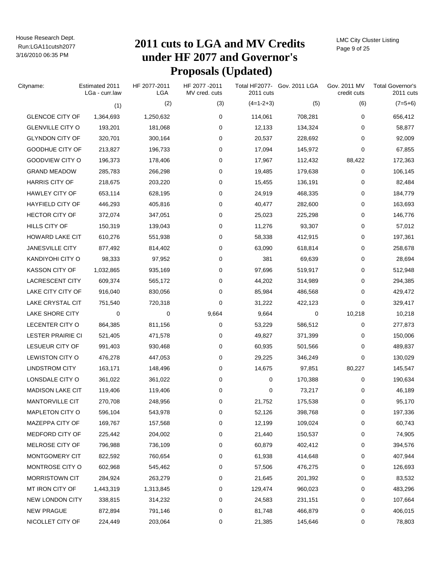# Run:LGA11cutsh2077 **2011 cuts to LGA and MV Credits under HF 2077 and Governor's Proposals (Updated)**

LMC City Cluster Listing Page 9 of 25

| Cityname:                | Estimated 2011<br>LGa - curr.law | HF 2077-2011<br><b>LGA</b> | HF 2077 - 2011<br>MV cred. cuts | 2011 cuts   | Total HF2077- Gov. 2011 LGA | Gov. 2011 MV<br>credit cuts | <b>Total Governor's</b><br>2011 cuts |
|--------------------------|----------------------------------|----------------------------|---------------------------------|-------------|-----------------------------|-----------------------------|--------------------------------------|
|                          | (1)                              | (2)                        | (3)                             | $(4=1-2+3)$ | (5)                         | (6)                         | $(7=5+6)$                            |
| <b>GLENCOE CITY OF</b>   | 1,364,693                        | 1,250,632                  | 0                               | 114,061     | 708,281                     | 0                           | 656,412                              |
| <b>GLENVILLE CITY O</b>  | 193,201                          | 181,068                    | 0                               | 12,133      | 134,324                     | 0                           | 58,877                               |
| <b>GLYNDON CITY OF</b>   | 320,701                          | 300,164                    | 0                               | 20,537      | 228,692                     | 0                           | 92,009                               |
| GOODHUE CITY OF          | 213,827                          | 196,733                    | 0                               | 17,094      | 145,972                     | 0                           | 67,855                               |
| GOODVIEW CITY O          | 196,373                          | 178,406                    | 0                               | 17,967      | 112,432                     | 88,422                      | 172,363                              |
| <b>GRAND MEADOW</b>      | 285,783                          | 266,298                    | 0                               | 19,485      | 179,638                     | 0                           | 106,145                              |
| <b>HARRIS CITY OF</b>    | 218,675                          | 203,220                    | 0                               | 15,455      | 136,191                     | 0                           | 82,484                               |
| HAWLEY CITY OF           | 653,114                          | 628,195                    | 0                               | 24,919      | 468,335                     | 0                           | 184,779                              |
| HAYFIELD CITY OF         | 446,293                          | 405,816                    | 0                               | 40,477      | 282,600                     | 0                           | 163,693                              |
| <b>HECTOR CITY OF</b>    | 372,074                          | 347,051                    | 0                               | 25,023      | 225,298                     | 0                           | 146,776                              |
| <b>HILLS CITY OF</b>     | 150,319                          | 139,043                    | 0                               | 11,276      | 93,307                      | 0                           | 57,012                               |
| <b>HOWARD LAKE CIT</b>   | 610,276                          | 551,938                    | 0                               | 58,338      | 412,915                     | 0                           | 197,361                              |
| <b>JANESVILLE CITY</b>   | 877,492                          | 814,402                    | 0                               | 63,090      | 618,814                     | 0                           | 258,678                              |
| KANDIYOHI CITY O         | 98,333                           | 97,952                     | 0                               | 381         | 69,639                      | 0                           | 28,694                               |
| <b>KASSON CITY OF</b>    | 1,032,865                        | 935,169                    | 0                               | 97,696      | 519,917                     | 0                           | 512,948                              |
| <b>LACRESCENT CITY</b>   | 609,374                          | 565,172                    | 0                               | 44,202      | 314,989                     | 0                           | 294,385                              |
| LAKE CITY CITY OF        | 916,040                          | 830,056                    | 0                               | 85,984      | 486,568                     | 0                           | 429,472                              |
| LAKE CRYSTAL CIT         | 751,540                          | 720,318                    | 0                               | 31,222      | 422,123                     | 0                           | 329,417                              |
| LAKE SHORE CITY          | 0                                | 0                          | 9,664                           | 9,664       | 0                           | 10,218                      | 10,218                               |
| LECENTER CITY O          | 864,385                          | 811,156                    | 0                               | 53,229      | 586,512                     | 0                           | 277,873                              |
| <b>LESTER PRAIRIE CI</b> | 521,405                          | 471,578                    | 0                               | 49,827      | 371,399                     | 0                           | 150,006                              |
| LESUEUR CITY OF          | 991,403                          | 930,468                    | 0                               | 60,935      | 501,566                     | 0                           | 489,837                              |
| LEWISTON CITY O          | 476,278                          | 447,053                    | 0                               | 29,225      | 346,249                     | 0                           | 130,029                              |
| <b>LINDSTROM CITY</b>    | 163,171                          | 148,496                    | 0                               | 14,675      | 97,851                      | 80,227                      | 145,547                              |
| LONSDALE CITY O          | 361,022                          | 361,022                    | 0                               | 0           | 170,388                     | 0                           | 190,634                              |
| <b>MADISON LAKE CIT</b>  | 119,406                          | 119,406                    | 0                               | 0           | 73,217                      | 0                           | 46,189                               |
| MANTORVILLE CIT          | 270,708                          | 248,956                    | 0                               | 21,752      | 175,538                     | 0                           | 95,170                               |
| MAPLETON CITY O          | 596,104                          | 543,978                    | 0                               | 52,126      | 398,768                     | 0                           | 197,336                              |
| MAZEPPA CITY OF          | 169,767                          | 157,568                    | 0                               | 12,199      | 109,024                     | 0                           | 60,743                               |
| MEDFORD CITY OF          | 225,442                          | 204,002                    | 0                               | 21,440      | 150,537                     | $\pmb{0}$                   | 74,905                               |
| MELROSE CITY OF          | 796,988                          | 736,109                    | 0                               | 60,879      | 402,412                     | 0                           | 394,576                              |
| MONTGOMERY CIT           | 822,592                          | 760,654                    | 0                               | 61,938      | 414,648                     | 0                           | 407,944                              |
| MONTROSE CITY O          | 602,968                          | 545,462                    | 0                               | 57,506      | 476,275                     | 0                           | 126,693                              |
| MORRISTOWN CIT           | 284,924                          | 263,279                    | 0                               | 21,645      | 201,392                     | 0                           | 83,532                               |
| MT IRON CITY OF          | 1,443,319                        | 1,313,845                  | 0                               | 129,474     | 960,023                     | 0                           | 483,296                              |
| NEW LONDON CITY          | 338,815                          | 314,232                    | 0                               | 24,583      | 231,151                     | 0                           | 107,664                              |
| <b>NEW PRAGUE</b>        | 872,894                          | 791,146                    | 0                               | 81,748      | 466,879                     | 0                           | 406,015                              |
| NICOLLET CITY OF         | 224,449                          | 203,064                    | 0                               | 21,385      | 145,646                     | 0                           | 78,803                               |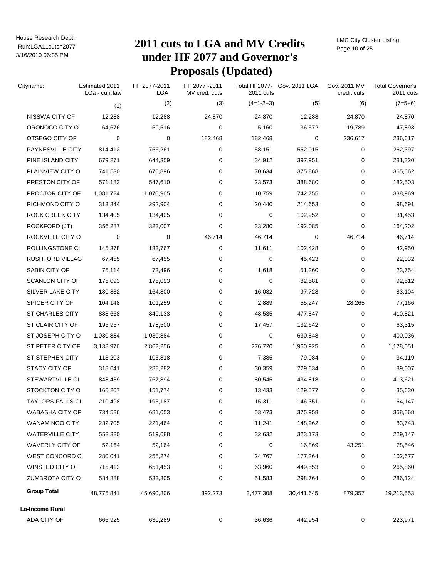# Run:LGA11cutsh2077 **2011 cuts to LGA and MV Credits under HF 2077 and Governor's Proposals (Updated)**

LMC City Cluster Listing Page 10 of 25

| Cityname:               | Estimated 2011<br>LGa - curr.law | HF 2077-2011<br>LGA | HF 2077-2011<br>MV cred. cuts | 2011 cuts   | Total HF2077- Gov. 2011 LGA | Gov. 2011 MV<br>credit cuts | <b>Total Governor's</b><br>2011 cuts |
|-------------------------|----------------------------------|---------------------|-------------------------------|-------------|-----------------------------|-----------------------------|--------------------------------------|
|                         | (1)                              | (2)                 | (3)                           | $(4=1-2+3)$ | (5)                         | (6)                         | $(7=5+6)$                            |
| NISSWA CITY OF          | 12,288                           | 12,288              | 24,870                        | 24,870      | 12,288                      | 24,870                      | 24,870                               |
| ORONOCO CITY O          | 64,676                           | 59,516              | 0                             | 5,160       | 36,572                      | 19,789                      | 47,893                               |
| OTSEGO CITY OF          | 0                                | 0                   | 182,468                       | 182,468     | $\mathbf 0$                 | 236,617                     | 236,617                              |
| PAYNESVILLE CITY        | 814,412                          | 756,261             | 0                             | 58,151      | 552,015                     | 0                           | 262,397                              |
| PINE ISLAND CITY        | 679,271                          | 644,359             | 0                             | 34,912      | 397,951                     | 0                           | 281,320                              |
| PLAINVIEW CITY O        | 741,530                          | 670,896             | 0                             | 70,634      | 375,868                     | 0                           | 365,662                              |
| PRESTON CITY OF         | 571,183                          | 547,610             | 0                             | 23,573      | 388,680                     | 0                           | 182,503                              |
| PROCTOR CITY OF         | 1,081,724                        | 1,070,965           | 0                             | 10,759      | 742,755                     | 0                           | 338,969                              |
| RICHMOND CITY O         | 313,344                          | 292,904             | 0                             | 20,440      | 214,653                     | 0                           | 98,691                               |
| ROCK CREEK CITY         | 134,405                          | 134,405             | 0                             | 0           | 102,952                     | 0                           | 31,453                               |
| ROCKFORD (JT)           | 356,287                          | 323,007             | 0                             | 33,280      | 192,085                     | 0                           | 164,202                              |
| ROCKVILLE CITY O        | 0                                | 0                   | 46,714                        | 46,714      | 0                           | 46,714                      | 46,714                               |
| ROLLINGSTONE CI         | 145,378                          | 133,767             | 0                             | 11,611      | 102,428                     | 0                           | 42,950                               |
| <b>RUSHFORD VILLAG</b>  | 67,455                           | 67,455              | 0                             | 0           | 45,423                      | 0                           | 22,032                               |
| SABIN CITY OF           | 75,114                           | 73,496              | 0                             | 1,618       | 51,360                      | 0                           | 23,754                               |
| <b>SCANLON CITY OF</b>  | 175,093                          | 175,093             | 0                             | 0           | 82,581                      | 0                           | 92,512                               |
| SILVER LAKE CITY        | 180,832                          | 164,800             | 0                             | 16,032      | 97,728                      | 0                           | 83,104                               |
| SPICER CITY OF          | 104,148                          | 101,259             | 0                             | 2,889       | 55,247                      | 28,265                      | 77,166                               |
| <b>ST CHARLES CITY</b>  | 888,668                          | 840,133             | 0                             | 48,535      | 477,847                     | 0                           | 410,821                              |
| ST CLAIR CITY OF        | 195,957                          | 178,500             | 0                             | 17,457      | 132,642                     | 0                           | 63,315                               |
| ST JOSEPH CITY O        | 1,030,884                        | 1,030,884           | 0                             | 0           | 630,848                     | 0                           | 400,036                              |
| ST PETER CITY OF        | 3,138,976                        | 2,862,256           | 0                             | 276,720     | 1,960,925                   | 0                           | 1,178,051                            |
| ST STEPHEN CITY         | 113,203                          | 105,818             | 0                             | 7,385       | 79,084                      | 0                           | 34,119                               |
| STACY CITY OF           | 318,641                          | 288,282             | 0                             | 30,359      | 229,634                     | 0                           | 89,007                               |
| <b>STEWARTVILLE CI</b>  | 848,439                          | 767,894             | 0                             | 80,545      | 434,818                     | 0                           | 413,621                              |
| STOCKTON CITY O         | 165,207                          | 151,774             | 0                             | 13,433      | 129,577                     | 0                           | 35,630                               |
| <b>TAYLORS FALLS CI</b> | 210,498                          | 195,187             | 0                             | 15,311      | 146,351                     | 0                           | 64,147                               |
| <b>WABASHA CITY OF</b>  | 734,526                          | 681,053             | $\pmb{0}$                     | 53,473      | 375,958                     | 0                           | 358,568                              |
| <b>WANAMINGO CITY</b>   | 232,705                          | 221,464             | $\pmb{0}$                     | 11,241      | 148,962                     | 0                           | 83,743                               |
| <b>WATERVILLE CITY</b>  | 552,320                          | 519,688             | 0                             | 32,632      | 323,173                     | 0                           | 229,147                              |
| WAVERLY CITY OF         | 52,164                           | 52,164              | 0                             | 0           | 16,869                      | 43,251                      | 78,546                               |
| <b>WEST CONCORD C</b>   | 280,041                          | 255,274             | 0                             | 24,767      | 177,364                     | 0                           | 102,677                              |
| WINSTED CITY OF         | 715,413                          | 651,453             | 0                             | 63,960      | 449,553                     | 0                           | 265,860                              |
| <b>ZUMBROTA CITY O</b>  | 584,888                          | 533,305             | 0                             | 51,583      | 298,764                     | 0                           | 286,124                              |
| <b>Group Total</b>      | 48,775,841                       | 45,690,806          | 392,273                       | 3,477,308   | 30,441,645                  | 879,357                     | 19,213,553                           |
| Lo-Income Rural         |                                  |                     |                               |             |                             |                             |                                      |
| ADA CITY OF             | 666,925                          | 630,289             | 0                             | 36,636      | 442,954                     | 0                           | 223,971                              |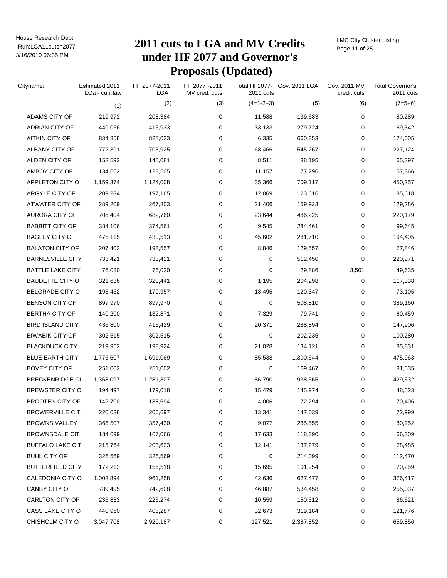# Run:LGA11cutsh2077 **2011 cuts to LGA and MV Credits under HF 2077 and Governor's Proposals (Updated)**

LMC City Cluster Listing Page 11 of 25

| Cityname:               | Estimated 2011<br>LGa - curr.law | HF 2077-2011<br><b>LGA</b> | HF 2077 - 2011<br>MV cred. cuts | 2011 cuts   | Total HF2077- Gov. 2011 LGA | Gov. 2011 MV<br>credit cuts | <b>Total Governor's</b><br>2011 cuts |
|-------------------------|----------------------------------|----------------------------|---------------------------------|-------------|-----------------------------|-----------------------------|--------------------------------------|
|                         | (1)                              | (2)                        | (3)                             | $(4=1-2+3)$ | (5)                         | (6)                         | $(7=5+6)$                            |
| ADAMS CITY OF           | 219,972                          | 208,384                    | 0                               | 11,588      | 139,683                     | 0                           | 80,289                               |
| ADRIAN CITY OF          | 449,066                          | 415,933                    | 0                               | 33,133      | 279,724                     | 0                           | 169,342                              |
| <b>AITKIN CITY OF</b>   | 834,358                          | 828,023                    | 0                               | 6,335       | 660,353                     | 0                           | 174,005                              |
| ALBANY CITY OF          | 772,391                          | 703,925                    | 0                               | 68,466      | 545,267                     | 0                           | 227,124                              |
| ALDEN CITY OF           | 153,592                          | 145,081                    | 0                               | 8,511       | 88,195                      | 0                           | 65,397                               |
| AMBOY CITY OF           | 134,662                          | 123,505                    | 0                               | 11,157      | 77,296                      | 0                           | 57,366                               |
| APPLETON CITY O         | 1,159,374                        | 1,124,008                  | 0                               | 35,366      | 709,117                     | 0                           | 450,257                              |
| ARGYLE CITY OF          | 209,234                          | 197,165                    | 0                               | 12,069      | 123,616                     | 0                           | 85,618                               |
| ATWATER CITY OF         | 289,209                          | 267,803                    | 0                               | 21,406      | 159,923                     | 0                           | 129,286                              |
| AURORA CITY OF          | 706,404                          | 682,760                    | 0                               | 23,644      | 486,225                     | 0                           | 220,179                              |
| <b>BABBITT CITY OF</b>  | 384,106                          | 374,561                    | 0                               | 9,545       | 284,461                     | 0                           | 99,645                               |
| <b>BAGLEY CITY OF</b>   | 476,115                          | 430,513                    | 0                               | 45,602      | 281,710                     | 0                           | 194,405                              |
| <b>BALATON CITY OF</b>  | 207,403                          | 198,557                    | 0                               | 8,846       | 129,557                     | 0                           | 77,846                               |
| <b>BARNESVILLE CITY</b> | 733,421                          | 733,421                    | 0                               | 0           | 512,450                     | 0                           | 220,971                              |
| <b>BATTLE LAKE CITY</b> | 76,020                           | 76,020                     | 0                               | 0           | 29,886                      | 3,501                       | 49,635                               |
| <b>BAUDETTE CITY O</b>  | 321,636                          | 320,441                    | 0                               | 1,195       | 204,298                     | 0                           | 117,338                              |
| <b>BELGRADE CITY O</b>  | 193,452                          | 179,957                    | 0                               | 13,495      | 120,347                     | 0                           | 73,105                               |
| <b>BENSON CITY OF</b>   | 897,970                          | 897,970                    | 0                               | 0           | 508,810                     | 0                           | 389,160                              |
| <b>BERTHA CITY OF</b>   | 140,200                          | 132,871                    | 0                               | 7,329       | 79,741                      | 0                           | 60,459                               |
| <b>BIRD ISLAND CITY</b> | 436,800                          | 416,429                    | 0                               | 20,371      | 288,894                     | 0                           | 147,906                              |
| <b>BIWABIK CITY OF</b>  | 302,515                          | 302,515                    | 0                               | 0           | 202,235                     | 0                           | 100,280                              |
| <b>BLACKDUCK CITY</b>   | 219,952                          | 198,924                    | 0                               | 21,028      | 134,121                     | 0                           | 85,831                               |
| <b>BLUE EARTH CITY</b>  | 1,776,607                        | 1,691,069                  | 0                               | 85,538      | 1,300,644                   | 0                           | 475,963                              |
| <b>BOVEY CITY OF</b>    | 251,002                          | 251,002                    | 0                               | 0           | 169,467                     | 0                           | 81,535                               |
| <b>BRECKENRIDGE CI</b>  | 1,368,097                        | 1,281,307                  | 0                               | 86,790      | 938,565                     | 0                           | 429,532                              |
| BREWSTER CITY O         | 194,497                          | 179,018                    | 0                               | 15,479      | 145,974                     | 0                           | 48,523                               |
| <b>BROOTEN CITY OF</b>  | 142,700                          | 138,694                    | 0                               | 4,006       | 72,294                      | 0                           | 70,406                               |
| <b>BROWERVILLE CIT</b>  | 220,038                          | 206,697                    | 0                               | 13,341      | 147,039                     | 0                           | 72,999                               |
| <b>BROWNS VALLEY</b>    | 366,507                          | 357,430                    | 0                               | 9,077       | 285,555                     | 0                           | 80,952                               |
| <b>BROWNSDALE CIT</b>   | 184,699                          | 167,066                    | 0                               | 17,633      | 118,390                     | 0                           | 66,309                               |
| <b>BUFFALO LAKE CIT</b> | 215,764                          | 203,623                    | 0                               | 12,141      | 137,279                     | 0                           | 78,485                               |
| <b>BUHL CITY OF</b>     | 326,569                          | 326,569                    | 0                               | 0           | 214,099                     | 0                           | 112,470                              |
| <b>BUTTERFIELD CITY</b> | 172,213                          | 156,518                    | 0                               | 15,695      | 101,954                     | 0                           | 70,259                               |
| CALEDONIA CITY O        | 1,003,894                        | 961,258                    | 0                               | 42,636      | 627,477                     | 0                           | 376,417                              |
| CANBY CITY OF           | 789,495                          | 742,608                    | 0                               | 46,887      | 534,458                     | 0                           | 255,037                              |
| CARLTON CITY OF         | 236,833                          | 226,274                    | 0                               | 10,559      | 150,312                     | 0                           | 86,521                               |
| CASS LAKE CITY O        | 440,960                          | 408,287                    | 0                               | 32,673      | 319,184                     | 0                           | 121,776                              |
| CHISHOLM CITY O         | 3,047,708                        | 2,920,187                  | 0                               | 127,521     | 2,387,852                   | 0                           | 659,856                              |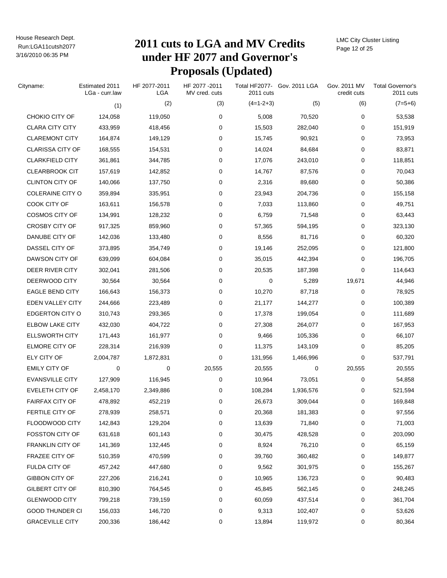# Run:LGA11cutsh2077 **2011 cuts to LGA and MV Credits under HF 2077 and Governor's Proposals (Updated)**

LMC City Cluster Listing Page 12 of 25

| Cityname:               | Estimated 2011<br>LGa - curr.law | HF 2077-2011<br>LGA | HF 2077-2011<br>MV cred. cuts | 2011 cuts   | Total HF2077- Gov. 2011 LGA | Gov. 2011 MV<br>credit cuts | <b>Total Governor's</b><br>2011 cuts |
|-------------------------|----------------------------------|---------------------|-------------------------------|-------------|-----------------------------|-----------------------------|--------------------------------------|
|                         | (1)                              | (2)                 | (3)                           | $(4=1-2+3)$ | (5)                         | (6)                         | $(7=5+6)$                            |
| CHOKIO CITY OF          | 124,058                          | 119,050             | 0                             | 5,008       | 70,520                      | 0                           | 53,538                               |
| <b>CLARA CITY CITY</b>  | 433,959                          | 418,456             | 0                             | 15,503      | 282,040                     | 0                           | 151,919                              |
| <b>CLAREMONT CITY</b>   | 164,874                          | 149,129             | 0                             | 15,745      | 90,921                      | 0                           | 73,953                               |
| <b>CLARISSA CITY OF</b> | 168,555                          | 154,531             | 0                             | 14,024      | 84,684                      | 0                           | 83,871                               |
| <b>CLARKFIELD CITY</b>  | 361,861                          | 344,785             | 0                             | 17,076      | 243,010                     | 0                           | 118,851                              |
| <b>CLEARBROOK CIT</b>   | 157,619                          | 142,852             | 0                             | 14,767      | 87,576                      | 0                           | 70,043                               |
| <b>CLINTON CITY OF</b>  | 140,066                          | 137,750             | 0                             | 2,316       | 89,680                      | 0                           | 50,386                               |
| COLERAINE CITY O        | 359,894                          | 335,951             | 0                             | 23,943      | 204,736                     | 0                           | 155,158                              |
| COOK CITY OF            | 163,611                          | 156,578             | 0                             | 7,033       | 113,860                     | 0                           | 49,751                               |
| <b>COSMOS CITY OF</b>   | 134,991                          | 128,232             | 0                             | 6,759       | 71,548                      | 0                           | 63,443                               |
| <b>CROSBY CITY OF</b>   | 917,325                          | 859,960             | 0                             | 57,365      | 594,195                     | 0                           | 323,130                              |
| DANUBE CITY OF          | 142,036                          | 133,480             | 0                             | 8,556       | 81,716                      | 0                           | 60,320                               |
| DASSEL CITY OF          | 373,895                          | 354,749             | 0                             | 19,146      | 252,095                     | 0                           | 121,800                              |
| DAWSON CITY OF          | 639,099                          | 604,084             | 0                             | 35,015      | 442,394                     | 0                           | 196,705                              |
| DEER RIVER CITY         | 302,041                          | 281,506             | 0                             | 20,535      | 187,398                     | 0                           | 114,643                              |
| DEERWOOD CITY           | 30,564                           | 30,564              | 0                             | 0           | 5,289                       | 19,671                      | 44,946                               |
| <b>EAGLE BEND CITY</b>  | 166,643                          | 156,373             | 0                             | 10,270      | 87,718                      | 0                           | 78,925                               |
| EDEN VALLEY CITY        | 244,666                          | 223,489             | 0                             | 21,177      | 144,277                     | 0                           | 100,389                              |
| <b>EDGERTON CITY O</b>  | 310,743                          | 293,365             | 0                             | 17,378      | 199,054                     | 0                           | 111,689                              |
| <b>ELBOW LAKE CITY</b>  | 432,030                          | 404,722             | 0                             | 27,308      | 264,077                     | 0                           | 167,953                              |
| <b>ELLSWORTH CITY</b>   | 171,443                          | 161,977             | 0                             | 9,466       | 105,336                     | 0                           | 66,107                               |
| <b>ELMORE CITY OF</b>   | 228,314                          | 216,939             | 0                             | 11,375      | 143,109                     | 0                           | 85,205                               |
| ELY CITY OF             | 2,004,787                        | 1,872,831           | 0                             | 131,956     | 1,466,996                   | 0                           | 537,791                              |
| <b>EMILY CITY OF</b>    | 0                                | 0                   | 20,555                        | 20,555      | 0                           | 20,555                      | 20,555                               |
| <b>EVANSVILLE CITY</b>  | 127,909                          | 116,945             | 0                             | 10,964      | 73,051                      | 0                           | 54,858                               |
| EVELETH CITY OF         | 2,458,170                        | 2,349,886           | 0                             | 108,284     | 1,936,576                   | 0                           | 521,594                              |
| <b>FAIRFAX CITY OF</b>  | 478,892                          | 452,219             | 0                             | 26,673      | 309,044                     | 0                           | 169,848                              |
| FERTILE CITY OF         | 278,939                          | 258,571             | 0                             | 20,368      | 181,383                     | 0                           | 97,556                               |
| FLOODWOOD CITY          | 142,843                          | 129,204             | 0                             | 13,639      | 71,840                      | 0                           | 71,003                               |
| <b>FOSSTON CITY OF</b>  | 631,618                          | 601,143             | 0                             | 30,475      | 428,528                     | 0                           | 203,090                              |
| <b>FRANKLIN CITY OF</b> | 141,369                          | 132,445             | 0                             | 8,924       | 76,210                      | 0                           | 65,159                               |
| <b>FRAZEE CITY OF</b>   | 510,359                          | 470,599             | 0                             | 39,760      | 360,482                     | 0                           | 149,877                              |
| FULDA CITY OF           | 457,242                          | 447,680             | 0                             | 9,562       | 301,975                     | 0                           | 155,267                              |
| <b>GIBBON CITY OF</b>   | 227,206                          | 216,241             | 0                             | 10,965      | 136,723                     | 0                           | 90,483                               |
| <b>GILBERT CITY OF</b>  | 810,390                          | 764,545             | 0                             | 45,845      | 562,145                     | 0                           | 248,245                              |
| <b>GLENWOOD CITY</b>    | 799,218                          | 739,159             | 0                             | 60,059      | 437,514                     | 0                           | 361,704                              |
| <b>GOOD THUNDER CI</b>  | 156,033                          | 146,720             | 0                             | 9,313       | 102,407                     | 0                           | 53,626                               |
| <b>GRACEVILLE CITY</b>  | 200,336                          | 186,442             | 0                             | 13,894      | 119,972                     | 0                           | 80,364                               |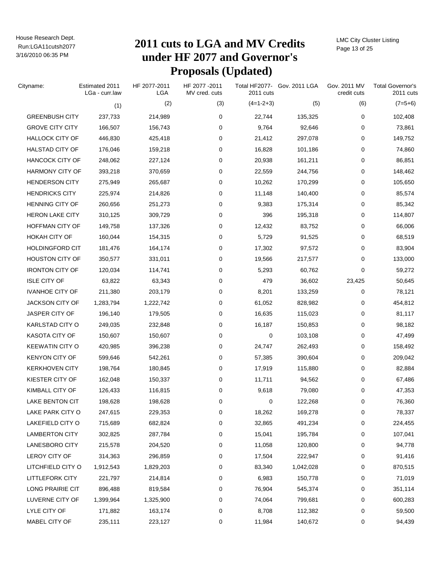# Run:LGA11cutsh2077 **2011 cuts to LGA and MV Credits under HF 2077 and Governor's Proposals (Updated)**

LMC City Cluster Listing Page 13 of 25

| Cityname:              | Estimated 2011<br>LGa - curr.law | HF 2077-2011<br><b>LGA</b> | HF 2077-2011<br>MV cred. cuts | 2011 cuts   | Total HF2077- Gov. 2011 LGA | Gov. 2011 MV<br>credit cuts | <b>Total Governor's</b><br>2011 cuts |
|------------------------|----------------------------------|----------------------------|-------------------------------|-------------|-----------------------------|-----------------------------|--------------------------------------|
|                        | (1)                              | (2)                        | (3)                           | $(4=1-2+3)$ | (5)                         | (6)                         | $(7=5+6)$                            |
| <b>GREENBUSH CITY</b>  | 237,733                          | 214,989                    | 0                             | 22,744      | 135,325                     | 0                           | 102,408                              |
| <b>GROVE CITY CITY</b> | 166,507                          | 156,743                    | 0                             | 9,764       | 92,646                      | 0                           | 73,861                               |
| <b>HALLOCK CITY OF</b> | 446,830                          | 425,418                    | 0                             | 21,412      | 297,078                     | 0                           | 149,752                              |
| <b>HALSTAD CITY OF</b> | 176,046                          | 159,218                    | 0                             | 16,828      | 101,186                     | 0                           | 74,860                               |
| <b>HANCOCK CITY OF</b> | 248,062                          | 227,124                    | 0                             | 20,938      | 161,211                     | 0                           | 86,851                               |
| <b>HARMONY CITY OF</b> | 393,218                          | 370,659                    | 0                             | 22,559      | 244,756                     | 0                           | 148,462                              |
| <b>HENDERSON CITY</b>  | 275,949                          | 265,687                    | 0                             | 10,262      | 170,299                     | 0                           | 105,650                              |
| <b>HENDRICKS CITY</b>  | 225,974                          | 214,826                    | 0                             | 11,148      | 140,400                     | 0                           | 85,574                               |
| <b>HENNING CITY OF</b> | 260,656                          | 251,273                    | 0                             | 9,383       | 175,314                     | 0                           | 85,342                               |
| <b>HERON LAKE CITY</b> | 310,125                          | 309,729                    | 0                             | 396         | 195,318                     | 0                           | 114,807                              |
| HOFFMAN CITY OF        | 149,758                          | 137,326                    | 0                             | 12,432      | 83,752                      | 0                           | 66,006                               |
| HOKAH CITY OF          | 160,044                          | 154,315                    | 0                             | 5,729       | 91,525                      | 0                           | 68,519                               |
| <b>HOLDINGFORD CIT</b> | 181,476                          | 164,174                    | 0                             | 17,302      | 97,572                      | 0                           | 83,904                               |
| <b>HOUSTON CITY OF</b> | 350,577                          | 331,011                    | 0                             | 19,566      | 217,577                     | 0                           | 133,000                              |
| <b>IRONTON CITY OF</b> | 120,034                          | 114,741                    | 0                             | 5,293       | 60,762                      | 0                           | 59,272                               |
| <b>ISLE CITY OF</b>    | 63,822                           | 63,343                     | 0                             | 479         | 36,602                      | 23,425                      | 50,645                               |
| <b>IVANHOE CITY OF</b> | 211,380                          | 203,179                    | 0                             | 8,201       | 133,259                     | 0                           | 78,121                               |
| <b>JACKSON CITY OF</b> | 1,283,794                        | 1,222,742                  | 0                             | 61,052      | 828,982                     | 0                           | 454,812                              |
| JASPER CITY OF         | 196,140                          | 179,505                    | 0                             | 16,635      | 115,023                     | 0                           | 81,117                               |
| <b>KARLSTAD CITY O</b> | 249,035                          | 232,848                    | 0                             | 16,187      | 150,853                     | 0                           | 98,182                               |
| KASOTA CITY OF         | 150,607                          | 150,607                    | 0                             | 0           | 103,108                     | 0                           | 47,499                               |
| <b>KEEWATIN CITY O</b> | 420,985                          | 396,238                    | 0                             | 24,747      | 262,493                     | 0                           | 158,492                              |
| <b>KENYON CITY OF</b>  | 599,646                          | 542,261                    | 0                             | 57,385      | 390,604                     | 0                           | 209,042                              |
| <b>KERKHOVEN CITY</b>  | 198,764                          | 180,845                    | 0                             | 17,919      | 115,880                     | 0                           | 82,884                               |
| <b>KIESTER CITY OF</b> | 162,048                          | 150,337                    | 0                             | 11,711      | 94,562                      | 0                           | 67,486                               |
| KIMBALL CITY OF        | 126,433                          | 116,815                    | 0                             | 9,618       | 79,080                      | 0                           | 47,353                               |
| <b>LAKE BENTON CIT</b> | 198,628                          | 198,628                    | 0                             | 0           | 122,268                     | 0                           | 76,360                               |
| LAKE PARK CITY O       | 247,615                          | 229,353                    | 0                             | 18,262      | 169,278                     | 0                           | 78,337                               |
| LAKEFIELD CITY O       | 715,689                          | 682,824                    | 0                             | 32,865      | 491,234                     | 0                           | 224,455                              |
| <b>LAMBERTON CITY</b>  | 302,825                          | 287,784                    | 0                             | 15,041      | 195,784                     | 0                           | 107,041                              |
| LANESBORO CITY         | 215,578                          | 204,520                    | 0                             | 11,058      | 120,800                     | 0                           | 94,778                               |
| LEROY CITY OF          | 314,363                          | 296,859                    | 0                             | 17,504      | 222,947                     | 0                           | 91,416                               |
| LITCHFIELD CITY O      | 1,912,543                        | 1,829,203                  | 0                             | 83,340      | 1,042,028                   | 0                           | 870,515                              |
| <b>LITTLEFORK CITY</b> | 221,797                          | 214,814                    | 0                             | 6,983       | 150,778                     | 0                           | 71,019                               |
| LONG PRAIRIE CIT       | 896,488                          | 819,584                    | 0                             | 76,904      | 545,374                     | 0                           | 351,114                              |
| LUVERNE CITY OF        | 1,399,964                        | 1,325,900                  | 0                             | 74,064      | 799,681                     | 0                           | 600,283                              |
| LYLE CITY OF           | 171,882                          | 163,174                    | 0                             | 8,708       | 112,382                     | 0                           | 59,500                               |
| MABEL CITY OF          | 235,111                          | 223,127                    | 0                             | 11,984      | 140,672                     | 0                           | 94,439                               |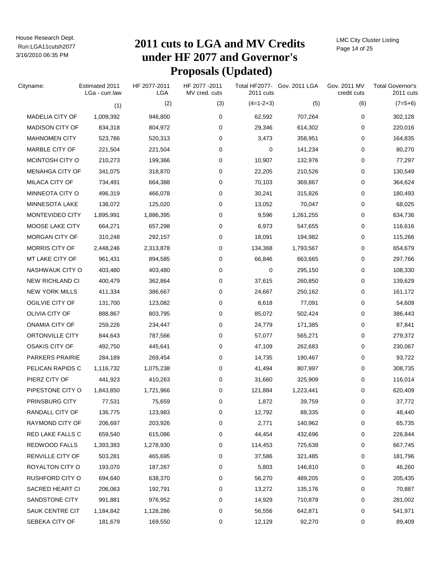# Run:LGA11cutsh2077 **2011 cuts to LGA and MV Credits under HF 2077 and Governor's Proposals (Updated)**

LMC City Cluster Listing Page 14 of 25

| Cityname:              | Estimated 2011<br>LGa - curr.law | HF 2077-2011<br>LGA | HF 2077 - 2011<br>MV cred. cuts | 2011 cuts   | Total HF2077- Gov. 2011 LGA | Gov. 2011 MV<br>credit cuts | <b>Total Governor's</b><br>2011 cuts |
|------------------------|----------------------------------|---------------------|---------------------------------|-------------|-----------------------------|-----------------------------|--------------------------------------|
|                        | (1)                              | (2)                 | (3)                             | $(4=1-2+3)$ | (5)                         | (6)                         | $(7=5+6)$                            |
| <b>MADELIA CITY OF</b> | 1,009,392                        | 946,800             | 0                               | 62,592      | 707,264                     | 0                           | 302,128                              |
| <b>MADISON CITY OF</b> | 834,318                          | 804,972             | 0                               | 29,346      | 614,302                     | 0                           | 220,016                              |
| <b>MAHNOMEN CITY</b>   | 523,786                          | 520,313             | 0                               | 3,473       | 358,951                     | 0                           | 164,835                              |
| MARBLE CITY OF         | 221,504                          | 221,504             | 0                               | 0           | 141,234                     | 0                           | 80,270                               |
| MCINTOSH CITY O        | 210,273                          | 199,366             | 0                               | 10,907      | 132,976                     | 0                           | 77,297                               |
| <b>MENAHGA CITY OF</b> | 341,075                          | 318,870             | 0                               | 22,205      | 210,526                     | 0                           | 130,549                              |
| MILACA CITY OF         | 734,491                          | 664,388             | 0                               | 70,103      | 369,867                     | 0                           | 364,624                              |
| MINNEOTA CITY O        | 496,319                          | 466,078             | 0                               | 30,241      | 315,826                     | 0                           | 180,493                              |
| MINNESOTA LAKE         | 138,072                          | 125,020             | 0                               | 13,052      | 70,047                      | 0                           | 68,025                               |
| MONTEVIDEO CITY        | 1,895,991                        | 1,886,395           | 0                               | 9,596       | 1,261,255                   | 0                           | 634,736                              |
| MOOSE LAKE CITY        | 664,271                          | 657,298             | 0                               | 6,973       | 547,655                     | 0                           | 116,616                              |
| MORGAN CITY OF         | 310,248                          | 292,157             | 0                               | 18,091      | 194,982                     | 0                           | 115,266                              |
| MORRIS CITY OF         | 2,448,246                        | 2,313,878           | 0                               | 134,368     | 1,793,567                   | 0                           | 654,679                              |
| MT LAKE CITY OF        | 961,431                          | 894,585             | 0                               | 66,846      | 663,665                     | 0                           | 297,766                              |
| NASHWAUK CITY O        | 403,480                          | 403,480             | 0                               | 0           | 295,150                     | 0                           | 108,330                              |
| <b>NEW RICHLAND CI</b> | 400,479                          | 362,864             | 0                               | 37,615      | 260,850                     | 0                           | 139,629                              |
| <b>NEW YORK MILLS</b>  | 411,334                          | 386,667             | 0                               | 24,667      | 250,162                     | 0                           | 161,172                              |
| OGILVIE CITY OF        | 131,700                          | 123,082             | 0                               | 8,618       | 77,091                      | 0                           | 54,609                               |
| OLIVIA CITY OF         | 888,867                          | 803,795             | 0                               | 85,072      | 502,424                     | 0                           | 386,443                              |
| ONAMIA CITY OF         | 259,226                          | 234,447             | 0                               | 24,779      | 171,385                     | 0                           | 87,841                               |
| ORTONVILLE CITY        | 844,643                          | 787,566             | 0                               | 57,077      | 565,271                     | 0                           | 279,372                              |
| OSAKIS CITY OF         | 492,750                          | 445,641             | 0                               | 47,109      | 262,683                     | 0                           | 230,067                              |
| PARKERS PRAIRIE        | 284,189                          | 269,454             | 0                               | 14,735      | 190,467                     | 0                           | 93,722                               |
| PELICAN RAPIDS C       | 1,116,732                        | 1,075,238           | 0                               | 41,494      | 807,997                     | 0                           | 308,735                              |
| PIERZ CITY OF          | 441,923                          | 410,263             | 0                               | 31,660      | 325,909                     | 0                           | 116,014                              |
| PIPESTONE CITY O       | 1,843,850                        | 1,721,966           | 0                               | 121,884     | 1,223,441                   | 0                           | 620,409                              |
| PRINSBURG CITY         | 77,531                           | 75,659              | 0                               | 1,872       | 39,759                      | 0                           | 37,772                               |
| RANDALL CITY OF        | 136,775                          | 123,983             | 0                               | 12,792      | 88,335                      | 0                           | 48,440                               |
| RAYMOND CITY OF        | 206,697                          | 203,926             | 0                               | 2,771       | 140,962                     | 0                           | 65,735                               |
| RED LAKE FALLS C       | 659,540                          | 615,086             | 0                               | 44,454      | 432,696                     | 0                           | 226,844                              |
| REDWOOD FALLS          | 1,393,383                        | 1,278,930           | 0                               | 114,453     | 725,638                     | 0                           | 667,745                              |
| RENVILLE CITY OF       | 503,281                          | 465,695             | 0                               | 37,586      | 321,485                     | 0                           | 181,796                              |
| ROYALTON CITY O        | 193,070                          | 187,267             | 0                               | 5,803       | 146,810                     | 0                           | 46,260                               |
| RUSHFORD CITY O        | 694,640                          | 638,370             | 0                               | 56,270      | 489,205                     | 0                           | 205,435                              |
| SACRED HEART CI        | 206,063                          | 192,791             | 0                               | 13,272      | 135,176                     | 0                           | 70,887                               |
| SANDSTONE CITY         | 991,881                          | 976,952             | 0                               | 14,929      | 710,879                     | 0                           | 281,002                              |
| SAUK CENTRE CIT        | 1,184,842                        | 1,128,286           | 0                               | 56,556      | 642,871                     | 0                           | 541,971                              |
| SEBEKA CITY OF         | 181,679                          | 169,550             | 0                               | 12,129      | 92,270                      | 0                           | 89,409                               |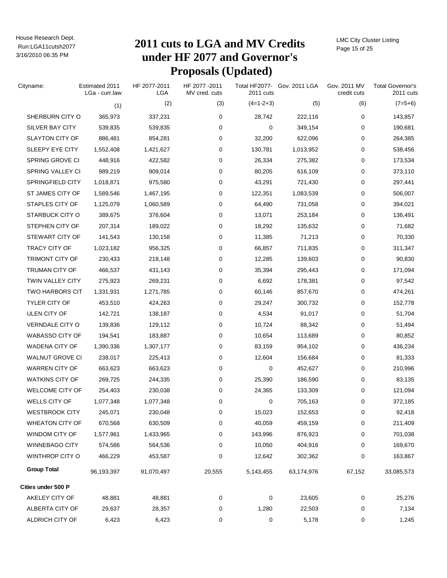# Run:LGA11cutsh2077 **2011 cuts to LGA and MV Credits under HF 2077 and Governor's Proposals (Updated)**

LMC City Cluster Listing Page 15 of 25

| Cityname:               | Estimated 2011<br>LGa - curr.law | HF 2077-2011<br>LGA | HF 2077 - 2011<br>MV cred. cuts | 2011 cuts   | Total HF2077- Gov. 2011 LGA | Gov. 2011 MV<br>credit cuts | <b>Total Governor's</b><br>2011 cuts |
|-------------------------|----------------------------------|---------------------|---------------------------------|-------------|-----------------------------|-----------------------------|--------------------------------------|
|                         | (1)                              | (2)                 | (3)                             | $(4=1-2+3)$ | (5)                         | (6)                         | $(7=5+6)$                            |
| SHERBURN CITY O         | 365,973                          | 337,231             | 0                               | 28,742      | 222,116                     | 0                           | 143,857                              |
| SILVER BAY CITY         | 539,835                          | 539,835             | 0                               | 0           | 349,154                     | 0                           | 190,681                              |
| <b>SLAYTON CITY OF</b>  | 886,481                          | 854,281             | 0                               | 32,200      | 622,096                     | 0                           | 264,385                              |
| SLEEPY EYE CITY         | 1,552,408                        | 1,421,627           | 0                               | 130,781     | 1,013,952                   | 0                           | 538,456                              |
| SPRING GROVE CI         | 448,916                          | 422,582             | 0                               | 26,334      | 275,382                     | 0                           | 173,534                              |
| SPRING VALLEY CI        | 989,219                          | 909,014             | 0                               | 80,205      | 616,109                     | 0                           | 373,110                              |
| SPRINGFIELD CITY        | 1,018,871                        | 975,580             | 0                               | 43,291      | 721,430                     | 0                           | 297,441                              |
| ST JAMES CITY OF        | 1,589,546                        | 1,467,195           | 0                               | 122,351     | 1,083,539                   | 0                           | 506,007                              |
| STAPLES CITY OF         | 1,125,079                        | 1,060,589           | 0                               | 64,490      | 731,058                     | 0                           | 394,021                              |
| <b>STARBUCK CITY O</b>  | 389,675                          | 376,604             | 0                               | 13,071      | 253,184                     | 0                           | 136,491                              |
| STEPHEN CITY OF         | 207,314                          | 189,022             | 0                               | 18,292      | 135,632                     | 0                           | 71,682                               |
| STEWART CITY OF         | 141,543                          | 130,158             | 0                               | 11,385      | 71,213                      | 0                           | 70,330                               |
| <b>TRACY CITY OF</b>    | 1,023,182                        | 956,325             | 0                               | 66,857      | 711,835                     | 0                           | 311,347                              |
| TRIMONT CITY OF         | 230,433                          | 218,148             | 0                               | 12,285      | 139,603                     | 0                           | 90,830                               |
| TRUMAN CITY OF          | 466,537                          | 431,143             | 0                               | 35,394      | 295,443                     | 0                           | 171,094                              |
| <b>TWIN VALLEY CITY</b> | 275,923                          | 269,231             | 0                               | 6,692       | 178,381                     | 0                           | 97,542                               |
| <b>TWO HARBORS CIT</b>  | 1,331,931                        | 1,271,785           | 0                               | 60,146      | 857,670                     | 0                           | 474,261                              |
| <b>TYLER CITY OF</b>    | 453,510                          | 424,263             | 0                               | 29,247      | 300,732                     | 0                           | 152,778                              |
| ULEN CITY OF            | 142,721                          | 138,187             | 0                               | 4,534       | 91,017                      | 0                           | 51,704                               |
| VERNDALE CITY O         | 139,836                          | 129,112             | 0                               | 10,724      | 88,342                      | 0                           | 51,494                               |
| <b>WABASSO CITY OF</b>  | 194,541                          | 183,887             | 0                               | 10,654      | 113,689                     | 0                           | 80,852                               |
| WADENA CITY OF          | 1,390,336                        | 1,307,177           | 0                               | 83,159      | 954,102                     | 0                           | 436,234                              |
| <b>WALNUT GROVE CI</b>  | 238,017                          | 225,413             | 0                               | 12,604      | 156,684                     | 0                           | 81,333                               |
| <b>WARREN CITY OF</b>   | 663,623                          | 663,623             | 0                               | 0           | 452,627                     | 0                           | 210,996                              |
| <b>WATKINS CITY OF</b>  | 269,725                          | 244,335             | 0                               | 25,390      | 186,590                     | 0                           | 83,135                               |
| <b>WELCOME CITY OF</b>  | 254,403                          | 230,038             | 0                               | 24,365      | 133,309                     | 0                           | 121,094                              |
| WELLS CITY OF           | 1,077,348                        | 1,077,348           | 0                               | 0           | 705,163                     | 0                           | 372,185                              |
| <b>WESTBROOK CITY</b>   | 245,071                          | 230,048             | 0                               | 15,023      | 152,653                     | 0                           | 92,418                               |
| <b>WHEATON CITY OF</b>  | 670,568                          | 630,509             | 0                               | 40,059      | 459,159                     | 0                           | 211,409                              |
| WINDOM CITY OF          | 1,577,961                        | 1,433,965           | 0                               | 143,996     | 876,923                     | 0                           | 701,038                              |
| <b>WINNEBAGO CITY</b>   | 574,586                          | 564,536             | 0                               | 10,050      | 404,916                     | 0                           | 169,670                              |
| <b>WINTHROP CITY O</b>  | 466,229                          | 453,587             | 0                               | 12,642      | 302,362                     | $\pmb{0}$                   | 163,867                              |
| <b>Group Total</b>      | 96,193,397                       | 91,070,497          | 20,555                          | 5,143,455   | 63,174,976                  | 67,152                      | 33,085,573                           |
| Cities under 500 P      |                                  |                     |                                 |             |                             |                             |                                      |
| AKELEY CITY OF          | 48,881                           | 48,881              | 0                               | 0           | 23,605                      | 0                           | 25,276                               |
| ALBERTA CITY OF         | 29,637                           | 28,357              | 0                               | 1,280       | 22,503                      | 0                           | 7,134                                |
| ALDRICH CITY OF         | 6,423                            | 6,423               | 0                               | 0           | 5,178                       | 0                           | 1,245                                |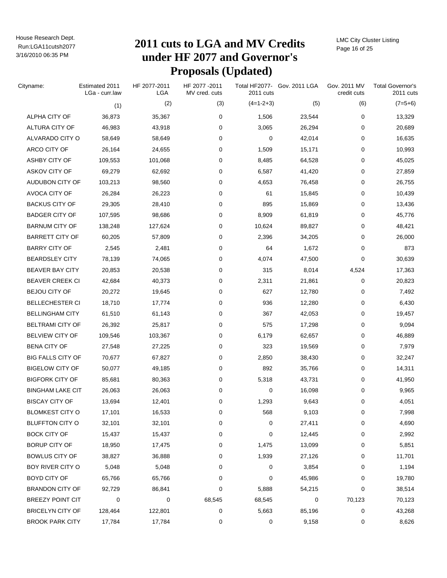# Run:LGA11cutsh2077 **2011 cuts to LGA and MV Credits under HF 2077 and Governor's Proposals (Updated)**

LMC City Cluster Listing Page 16 of 25

| Cityname:                | Estimated 2011<br>LGa - curr.law | HF 2077-2011<br>LGA | HF 2077-2011<br>MV cred. cuts | Total HF2077-<br>2011 cuts | Gov. 2011 LGA | Gov. 2011 MV<br>credit cuts | <b>Total Governor's</b><br>2011 cuts |
|--------------------------|----------------------------------|---------------------|-------------------------------|----------------------------|---------------|-----------------------------|--------------------------------------|
|                          | (1)                              | (2)                 | (3)                           | $(4=1-2+3)$                | (5)           | (6)                         | $(7=5+6)$                            |
| ALPHA CITY OF            | 36,873                           | 35,367              | 0                             | 1,506                      | 23,544        | 0                           | 13,329                               |
| ALTURA CITY OF           | 46,983                           | 43,918              | 0                             | 3,065                      | 26,294        | 0                           | 20,689                               |
| ALVARADO CITY O          | 58,649                           | 58,649              | 0                             | 0                          | 42,014        | 0                           | 16,635                               |
| ARCO CITY OF             | 26,164                           | 24,655              | 0                             | 1,509                      | 15,171        | 0                           | 10,993                               |
| ASHBY CITY OF            | 109,553                          | 101,068             | 0                             | 8,485                      | 64,528        | 0                           | 45,025                               |
| ASKOV CITY OF            | 69,279                           | 62,692              | 0                             | 6,587                      | 41,420        | 0                           | 27,859                               |
| AUDUBON CITY OF          | 103,213                          | 98,560              | 0                             | 4,653                      | 76,458        | 0                           | 26,755                               |
| AVOCA CITY OF            | 26,284                           | 26,223              | 0                             | 61                         | 15,845        | 0                           | 10,439                               |
| <b>BACKUS CITY OF</b>    | 29,305                           | 28,410              | 0                             | 895                        | 15,869        | 0                           | 13,436                               |
| <b>BADGER CITY OF</b>    | 107,595                          | 98,686              | 0                             | 8,909                      | 61,819        | 0                           | 45,776                               |
| <b>BARNUM CITY OF</b>    | 138,248                          | 127,624             | 0                             | 10,624                     | 89,827        | 0                           | 48,421                               |
| <b>BARRETT CITY OF</b>   | 60,205                           | 57,809              | 0                             | 2,396                      | 34,205        | 0                           | 26,000                               |
| <b>BARRY CITY OF</b>     | 2,545                            | 2,481               | 0                             | 64                         | 1,672         | 0                           | 873                                  |
| <b>BEARDSLEY CITY</b>    | 78,139                           | 74,065              | 0                             | 4,074                      | 47,500        | 0                           | 30,639                               |
| <b>BEAVER BAY CITY</b>   | 20,853                           | 20,538              | 0                             | 315                        | 8,014         | 4,524                       | 17,363                               |
| <b>BEAVER CREEK CI</b>   | 42,684                           | 40,373              | 0                             | 2,311                      | 21,861        | 0                           | 20,823                               |
| <b>BEJOU CITY OF</b>     | 20,272                           | 19,645              | 0                             | 627                        | 12,780        | 0                           | 7,492                                |
| <b>BELLECHESTER CI</b>   | 18,710                           | 17,774              | 0                             | 936                        | 12,280        | 0                           | 6,430                                |
| <b>BELLINGHAM CITY</b>   | 61,510                           | 61,143              | 0                             | 367                        | 42,053        | 0                           | 19,457                               |
| <b>BELTRAMI CITY OF</b>  | 26,392                           | 25,817              | 0                             | 575                        | 17,298        | 0                           | 9,094                                |
| <b>BELVIEW CITY OF</b>   | 109,546                          | 103,367             | 0                             | 6,179                      | 62,657        | 0                           | 46,889                               |
| <b>BENA CITY OF</b>      | 27,548                           | 27,225              | 0                             | 323                        | 19,569        | 0                           | 7,979                                |
| <b>BIG FALLS CITY OF</b> | 70,677                           | 67,827              | 0                             | 2,850                      | 38,430        | 0                           | 32,247                               |
| <b>BIGELOW CITY OF</b>   | 50,077                           | 49,185              | 0                             | 892                        | 35,766        | 0                           | 14,311                               |
| <b>BIGFORK CITY OF</b>   | 85,681                           | 80,363              | 0                             | 5,318                      | 43,731        | 0                           | 41,950                               |
| BINGHAM LAKE CIT         | 26,063                           | 26,063              | 0                             | 0                          | 16,098        | 0                           | 9,965                                |
| <b>BISCAY CITY OF</b>    | 13,694                           | 12,401              | 0                             | 1,293                      | 9,643         | 0                           | 4,051                                |
| <b>BLOMKEST CITY O</b>   | 17,101                           | 16,533              | 0                             | 568                        | 9,103         | 0                           | 7,998                                |
| <b>BLUFFTON CITY O</b>   | 32,101                           | 32,101              | 0                             | 0                          | 27,411        | 0                           | 4,690                                |
| <b>BOCK CITY OF</b>      | 15,437                           | 15,437              | 0                             | 0                          | 12,445        | 0                           | 2,992                                |
| <b>BORUP CITY OF</b>     | 18,950                           | 17,475              | 0                             | 1,475                      | 13,099        | 0                           | 5,851                                |
| <b>BOWLUS CITY OF</b>    | 38,827                           | 36,888              | 0                             | 1,939                      | 27,126        | 0                           | 11,701                               |
| BOY RIVER CITY O         | 5,048                            | 5,048               | 0                             | 0                          | 3,854         | 0                           | 1,194                                |
| BOYD CITY OF             | 65,766                           | 65,766              | 0                             | 0                          | 45,986        | 0                           | 19,780                               |
| <b>BRANDON CITY OF</b>   | 92,729                           | 86,841              | 0                             | 5,888                      | 54,215        | 0                           | 38,514                               |
| <b>BREEZY POINT CIT</b>  | 0                                | 0                   | 68,545                        | 68,545                     | 0             | 70,123                      | 70,123                               |
| <b>BRICELYN CITY OF</b>  | 128,464                          | 122,801             | 0                             | 5,663                      | 85,196        | 0                           | 43,268                               |
| <b>BROOK PARK CITY</b>   | 17,784                           | 17,784              | 0                             | 0                          | 9,158         | 0                           | 8,626                                |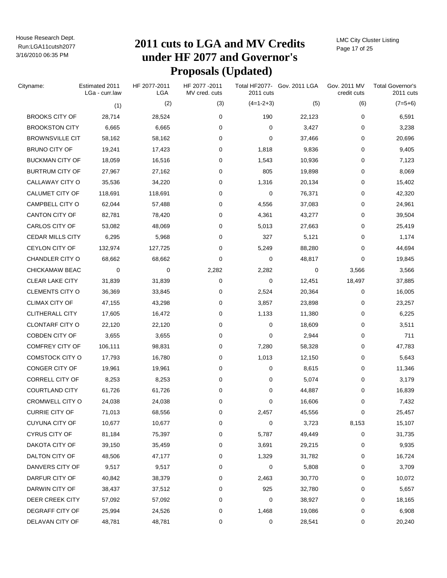# Run:LGA11cutsh2077 **2011 cuts to LGA and MV Credits under HF 2077 and Governor's Proposals (Updated)**

LMC City Cluster Listing Page 17 of 25

| Cityname:               | Estimated 2011<br>LGa - curr.law | HF 2077-2011<br>LGA | HF 2077-2011<br>MV cred. cuts | 2011 cuts   | Total HF2077- Gov. 2011 LGA | Gov. 2011 MV<br>credit cuts | <b>Total Governor's</b><br>2011 cuts |
|-------------------------|----------------------------------|---------------------|-------------------------------|-------------|-----------------------------|-----------------------------|--------------------------------------|
|                         | (1)                              | (2)                 | (3)                           | $(4=1-2+3)$ | (5)                         | (6)                         | $(7=5+6)$                            |
| <b>BROOKS CITY OF</b>   | 28,714                           | 28,524              | 0                             | 190         | 22,123                      | 0                           | 6,591                                |
| <b>BROOKSTON CITY</b>   | 6,665                            | 6,665               | 0                             | 0           | 3,427                       | 0                           | 3,238                                |
| <b>BROWNSVILLE CIT</b>  | 58,162                           | 58,162              | 0                             | 0           | 37,466                      | 0                           | 20,696                               |
| <b>BRUNO CITY OF</b>    | 19,241                           | 17,423              | 0                             | 1,818       | 9,836                       | 0                           | 9,405                                |
| <b>BUCKMAN CITY OF</b>  | 18,059                           | 16,516              | 0                             | 1,543       | 10,936                      | 0                           | 7,123                                |
| <b>BURTRUM CITY OF</b>  | 27,967                           | 27,162              | 0                             | 805         | 19,898                      | 0                           | 8,069                                |
| CALLAWAY CITY O         | 35,536                           | 34,220              | 0                             | 1,316       | 20,134                      | 0                           | 15,402                               |
| <b>CALUMET CITY OF</b>  | 118,691                          | 118,691             | 0                             | 0           | 76,371                      | 0                           | 42,320                               |
| CAMPBELL CITY O         | 62,044                           | 57,488              | 0                             | 4,556       | 37,083                      | 0                           | 24,961                               |
| <b>CANTON CITY OF</b>   | 82,781                           | 78,420              | 0                             | 4,361       | 43,277                      | 0                           | 39,504                               |
| CARLOS CITY OF          | 53,082                           | 48,069              | 0                             | 5,013       | 27,663                      | 0                           | 25,419                               |
| <b>CEDAR MILLS CITY</b> | 6,295                            | 5,968               | 0                             | 327         | 5,121                       | 0                           | 1,174                                |
| CEYLON CITY OF          | 132,974                          | 127,725             | 0                             | 5,249       | 88,280                      | 0                           | 44,694                               |
| <b>CHANDLER CITY O</b>  | 68,662                           | 68,662              | 0                             | 0           | 48,817                      | 0                           | 19,845                               |
| CHICKAMAW BEAC          | 0                                | 0                   | 2,282                         | 2,282       | 0                           | 3,566                       | 3,566                                |
| CLEAR LAKE CITY         | 31,839                           | 31,839              | 0                             | 0           | 12,451                      | 18,497                      | 37,885                               |
| <b>CLEMENTS CITY O</b>  | 36,369                           | 33,845              | 0                             | 2,524       | 20,364                      | 0                           | 16,005                               |
| <b>CLIMAX CITY OF</b>   | 47,155                           | 43,298              | 0                             | 3,857       | 23,898                      | 0                           | 23,257                               |
| <b>CLITHERALL CITY</b>  | 17,605                           | 16,472              | 0                             | 1,133       | 11,380                      | 0                           | 6,225                                |
| <b>CLONTARF CITY O</b>  | 22,120                           | 22,120              | 0                             | 0           | 18,609                      | 0                           | 3,511                                |
| <b>COBDEN CITY OF</b>   | 3,655                            | 3,655               | 0                             | 0           | 2,944                       | 0                           | 711                                  |
| <b>COMFREY CITY OF</b>  | 106,111                          | 98,831              | 0                             | 7,280       | 58,328                      | 0                           | 47,783                               |
| COMSTOCK CITY O         | 17,793                           | 16,780              | 0                             | 1,013       | 12,150                      | 0                           | 5,643                                |
| CONGER CITY OF          | 19,961                           | 19,961              | 0                             | 0           | 8,615                       | 0                           | 11,346                               |
| CORRELL CITY OF         | 8,253                            | 8,253               | 0                             | 0           | 5,074                       | 0                           | 3,179                                |
| <b>COURTLAND CITY</b>   | 61,726                           | 61,726              | 0                             | 0           | 44,887                      | 0                           | 16,839                               |
| CROMWELL CITY O         | 24,038                           | 24,038              | 0                             | 0           | 16,606                      | 0                           | 7,432                                |
| <b>CURRIE CITY OF</b>   | 71,013                           | 68,556              | 0                             | 2,457       | 45,556                      | 0                           | 25,457                               |
| <b>CUYUNA CITY OF</b>   | 10,677                           | 10,677              | 0                             | 0           | 3,723                       | 8,153                       | 15,107                               |
| <b>CYRUS CITY OF</b>    | 81,184                           | 75,397              | 0                             | 5,787       | 49,449                      | 0                           | 31,735                               |
| DAKOTA CITY OF          | 39,150                           | 35,459              | 0                             | 3,691       | 29,215                      | 0                           | 9,935                                |
| DALTON CITY OF          | 48,506                           | 47,177              | 0                             | 1,329       | 31,782                      | 0                           | 16,724                               |
| DANVERS CITY OF         | 9,517                            | 9,517               | 0                             | 0           | 5,808                       | 0                           | 3,709                                |
| DARFUR CITY OF          | 40,842                           | 38,379              | 0                             | 2,463       | 30,770                      | 0                           | 10,072                               |
| DARWIN CITY OF          | 38,437                           | 37,512              | 0                             | 925         | 32,780                      | 0                           | 5,657                                |
| DEER CREEK CITY         | 57,092                           | 57,092              | 0                             | 0           | 38,927                      | 0                           | 18,165                               |
| DEGRAFF CITY OF         | 25,994                           | 24,526              | 0                             | 1,468       | 19,086                      | 0                           | 6,908                                |
| DELAVAN CITY OF         | 48,781                           | 48,781              | 0                             | 0           | 28,541                      | 0                           | 20,240                               |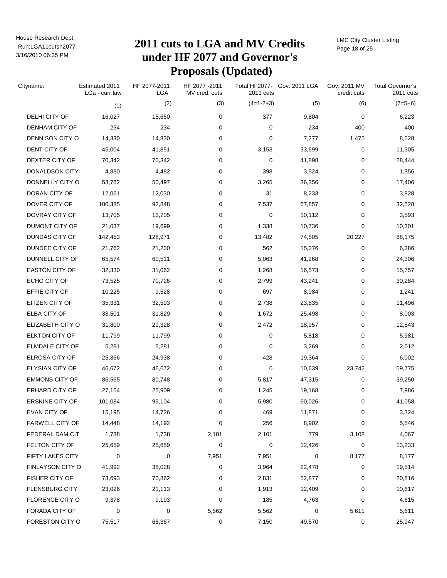# Run:LGA11cutsh2077 **2011 cuts to LGA and MV Credits under HF 2077 and Governor's Proposals (Updated)**

LMC City Cluster Listing Page 18 of 25

| Cityname:              | Estimated 2011<br>LGa - curr.law | HF 2077-2011<br><b>LGA</b> | HF 2077-2011<br>MV cred. cuts | 2011 cuts   | Total HF2077- Gov. 2011 LGA | Gov. 2011 MV<br>credit cuts | <b>Total Governor's</b><br>2011 cuts |
|------------------------|----------------------------------|----------------------------|-------------------------------|-------------|-----------------------------|-----------------------------|--------------------------------------|
|                        | (1)                              | (2)                        | (3)                           | $(4=1-2+3)$ | (5)                         | (6)                         | $(7=5+6)$                            |
| DELHI CITY OF          | 16,027                           | 15,650                     | 0                             | 377         | 9,804                       | 0                           | 6,223                                |
| DENHAM CITY OF         | 234                              | 234                        | 0                             | 0           | 234                         | 400                         | 400                                  |
| DENNISON CITY O        | 14,330                           | 14,330                     | 0                             | 0           | 7,277                       | 1,475                       | 8,528                                |
| DENT CITY OF           | 45,004                           | 41,851                     | 0                             | 3,153       | 33,699                      | 0                           | 11,305                               |
| DEXTER CITY OF         | 70,342                           | 70,342                     | 0                             | 0           | 41,898                      | 0                           | 28,444                               |
| DONALDSON CITY         | 4,880                            | 4,482                      | 0                             | 398         | 3,524                       | 0                           | 1,356                                |
| DONNELLY CITY O        | 53,762                           | 50,497                     | 0                             | 3,265       | 36,356                      | 0                           | 17,406                               |
| DORAN CITY OF          | 12,061                           | 12,030                     | 0                             | 31          | 8,233                       | 0                           | 3,828                                |
| DOVER CITY OF          | 100,385                          | 92,848                     | 0                             | 7,537       | 67,857                      | 0                           | 32,528                               |
| DOVRAY CITY OF         | 13,705                           | 13,705                     | 0                             | 0           | 10,112                      | 0                           | 3,593                                |
| DUMONT CITY OF         | 21,037                           | 19,699                     | 0                             | 1,338       | 10,736                      | 0                           | 10,301                               |
| DUNDAS CITY OF         | 142,453                          | 128,971                    | 0                             | 13,482      | 74,505                      | 20,227                      | 88,175                               |
| DUNDEE CITY OF         | 21,762                           | 21,200                     | 0                             | 562         | 15,376                      | 0                           | 6,386                                |
| DUNNELL CITY OF        | 65,574                           | 60,511                     | 0                             | 5,063       | 41,268                      | 0                           | 24,306                               |
| <b>EASTON CITY OF</b>  | 32,330                           | 31,062                     | 0                             | 1,268       | 16,573                      | 0                           | 15,757                               |
| ECHO CITY OF           | 73,525                           | 70,726                     | 0                             | 2,799       | 43,241                      | 0                           | 30,284                               |
| EFFIE CITY OF          | 10,225                           | 9,528                      | 0                             | 697         | 8,984                       | 0                           | 1,241                                |
| EITZEN CITY OF         | 35,331                           | 32,593                     | 0                             | 2,738       | 23,835                      | 0                           | 11,496                               |
| ELBA CITY OF           | 33,501                           | 31,829                     | 0                             | 1,672       | 25,498                      | 0                           | 8,003                                |
| ELIZABETH CITY O       | 31,800                           | 29,328                     | 0                             | 2,472       | 18,957                      | 0                           | 12,843                               |
| <b>ELKTON CITY OF</b>  | 11,799                           | 11,799                     | 0                             | 0           | 5,818                       | 0                           | 5,981                                |
| ELMDALE CITY OF        | 5,281                            | 5,281                      | 0                             | 0           | 3,269                       | 0                           | 2,012                                |
| ELROSA CITY OF         | 25,366                           | 24,938                     | 0                             | 428         | 19,364                      | 0                           | 6,002                                |
| <b>ELYSIAN CITY OF</b> | 46,672                           | 46,672                     | 0                             | 0           | 10,639                      | 23,742                      | 59,775                               |
| <b>EMMONS CITY OF</b>  | 86,565                           | 80,748                     | 0                             | 5,817       | 47,315                      | 0                           | 39,250                               |
| <b>ERHARD CITY OF</b>  | 27,154                           | 25,909                     | 0                             | 1,245       | 19,168                      | 0                           | 7,986                                |
| <b>ERSKINE CITY OF</b> | 101,084                          | 95,104                     | 0                             | 5,980       | 60,026                      | 0                           | 41,058                               |
| EVAN CITY OF           | 15,195                           | 14,726                     | 0                             | 469         | 11,871                      | 0                           | 3,324                                |
| <b>FARWELL CITY OF</b> | 14,448                           | 14,192                     | 0                             | 256         | 8,902                       | 0                           | 5,546                                |
| FEDERAL DAM CIT        | 1,738                            | 1,738                      | 2,101                         | 2,101       | 779                         | 3,108                       | 4,067                                |
| FELTON CITY OF         | 25,659                           | 25,659                     | 0                             | 0           | 12,426                      | 0                           | 13,233                               |
| FIFTY LAKES CITY       | 0                                | 0                          | 7,951                         | 7,951       | 0                           | 8,177                       | 8,177                                |
| FINLAYSON CITY O       | 41,992                           | 38,028                     | 0                             | 3,964       | 22,478                      | 0                           | 19,514                               |
| FISHER CITY OF         | 73,693                           | 70,862                     | 0                             | 2,831       | 52,877                      | 0                           | 20,816                               |
| <b>FLENSBURG CITY</b>  | 23,026                           | 21,113                     | 0                             | 1,913       | 12,409                      | 0                           | 10,617                               |
| FLORENCE CITY O        | 9,378                            | 9,193                      | 0                             | 185         | 4,763                       | 0                           | 4,615                                |
| FORADA CITY OF         | 0                                | 0                          | 5,562                         | 5,562       | 0                           | 5,611                       | 5,611                                |
| FORESTON CITY O        | 75,517                           | 68,367                     | 0                             | 7,150       | 49,570                      | 0                           | 25,947                               |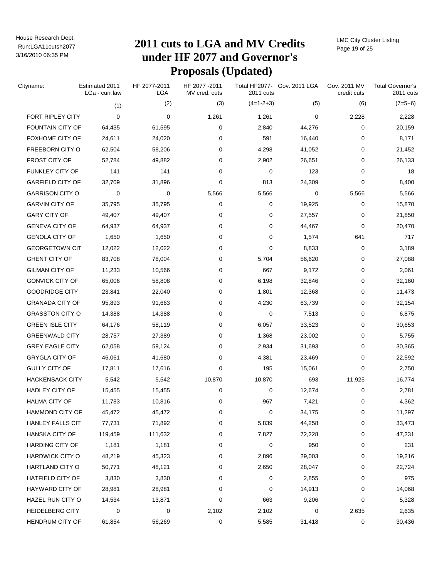# Run:LGA11cutsh2077 **2011 cuts to LGA and MV Credits under HF 2077 and Governor's Proposals (Updated)**

LMC City Cluster Listing Page 19 of 25

| Cityname:               | Estimated 2011<br>LGa - curr.law | HF 2077-2011<br>LGA | HF 2077-2011<br>MV cred. cuts | 2011 cuts   | Total HF2077- Gov. 2011 LGA | Gov. 2011 MV<br>credit cuts | <b>Total Governor's</b><br>2011 cuts |
|-------------------------|----------------------------------|---------------------|-------------------------------|-------------|-----------------------------|-----------------------------|--------------------------------------|
|                         | (1)                              | (2)                 | (3)                           | $(4=1-2+3)$ | (5)                         | (6)                         | $(7=5+6)$                            |
| <b>FORT RIPLEY CITY</b> | $\Omega$                         | 0                   | 1,261                         | 1,261       | 0                           | 2,228                       | 2,228                                |
| FOUNTAIN CITY OF        | 64,435                           | 61,595              | 0                             | 2,840       | 44,276                      | 0                           | 20,159                               |
| FOXHOME CITY OF         | 24,611                           | 24,020              | 0                             | 591         | 16,440                      | 0                           | 8,171                                |
| FREEBORN CITY O         | 62,504                           | 58,206              | 0                             | 4,298       | 41,052                      | 0                           | 21,452                               |
| FROST CITY OF           | 52,784                           | 49,882              | 0                             | 2,902       | 26,651                      | 0                           | 26,133                               |
| FUNKLEY CITY OF         | 141                              | 141                 | 0                             | 0           | 123                         | 0                           | 18                                   |
| <b>GARFIELD CITY OF</b> | 32,709                           | 31,896              | 0                             | 813         | 24,309                      | 0                           | 8,400                                |
| <b>GARRISON CITY O</b>  | 0                                | 0                   | 5,566                         | 5,566       | 0                           | 5,566                       | 5,566                                |
| <b>GARVIN CITY OF</b>   | 35,795                           | 35,795              | 0                             | 0           | 19,925                      | 0                           | 15,870                               |
| <b>GARY CITY OF</b>     | 49,407                           | 49,407              | 0                             | 0           | 27,557                      | 0                           | 21,850                               |
| <b>GENEVA CITY OF</b>   | 64,937                           | 64,937              | 0                             | 0           | 44,467                      | 0                           | 20,470                               |
| <b>GENOLA CITY OF</b>   | 1,650                            | 1,650               | 0                             | 0           | 1,574                       | 641                         | 717                                  |
| <b>GEORGETOWN CIT</b>   | 12,022                           | 12,022              | 0                             | 0           | 8,833                       | 0                           | 3,189                                |
| <b>GHENT CITY OF</b>    | 83,708                           | 78,004              | 0                             | 5,704       | 56,620                      | 0                           | 27,088                               |
| <b>GILMAN CITY OF</b>   | 11,233                           | 10,566              | 0                             | 667         | 9,172                       | 0                           | 2,061                                |
| <b>GONVICK CITY OF</b>  | 65,006                           | 58,808              | 0                             | 6,198       | 32,846                      | 0                           | 32,160                               |
| <b>GOODRIDGE CITY</b>   | 23,841                           | 22,040              | 0                             | 1,801       | 12,368                      | 0                           | 11,473                               |
| <b>GRANADA CITY OF</b>  | 95,893                           | 91,663              | 0                             | 4,230       | 63,739                      | 0                           | 32,154                               |
| <b>GRASSTON CITY O</b>  | 14,388                           | 14,388              | 0                             | 0           | 7,513                       | 0                           | 6,875                                |
| <b>GREEN ISLE CITY</b>  | 64,176                           | 58,119              | 0                             | 6,057       | 33,523                      | 0                           | 30,653                               |
| <b>GREENWALD CITY</b>   | 28,757                           | 27,389              | 0                             | 1,368       | 23,002                      | 0                           | 5,755                                |
| <b>GREY EAGLE CITY</b>  | 62,058                           | 59,124              | 0                             | 2,934       | 31,693                      | 0                           | 30,365                               |
| <b>GRYGLA CITY OF</b>   | 46,061                           | 41,680              | 0                             | 4,381       | 23,469                      | 0                           | 22,592                               |
| <b>GULLY CITY OF</b>    | 17,811                           | 17,616              | 0                             | 195         | 15,061                      | 0                           | 2,750                                |
| <b>HACKENSACK CITY</b>  | 5,542                            | 5,542               | 10,870                        | 10,870      | 693                         | 11,925                      | 16,774                               |
| <b>HADLEY CITY OF</b>   | 15,455                           | 15,455              | 0                             | 0           | 12,674                      | 0                           | 2,781                                |
| <b>HALMA CITY OF</b>    | 11,783                           | 10,816              | 0                             | 967         | 7,421                       | 0                           | 4,362                                |
| <b>HAMMOND CITY OF</b>  | 45,472                           | 45,472              | 0                             | 0           | 34,175                      | 0                           | 11,297                               |
| HANLEY FALLS CIT        | 77,731                           | 71,892              | 0                             | 5,839       | 44,258                      | 0                           | 33,473                               |
| <b>HANSKA CITY OF</b>   | 119,459                          | 111,632             | 0                             | 7,827       | 72,228                      | 0                           | 47,231                               |
| HARDING CITY OF         | 1,181                            | 1,181               | 0                             | 0           | 950                         | 0                           | 231                                  |
| <b>HARDWICK CITY O</b>  | 48,219                           | 45,323              | 0                             | 2,896       | 29,003                      | 0                           | 19,216                               |
| HARTLAND CITY O         | 50,771                           | 48,121              | 0                             | 2,650       | 28,047                      | 0                           | 22,724                               |
| HATFIELD CITY OF        | 3,830                            | 3,830               | 0                             | 0           | 2,855                       | 0                           | 975                                  |
| HAYWARD CITY OF         | 28,981                           | 28,981              | 0                             | 0           | 14,913                      | 0                           | 14,068                               |
| HAZEL RUN CITY O        | 14,534                           | 13,871              | 0                             | 663         | 9,206                       | 0                           | 5,328                                |
| <b>HEIDELBERG CITY</b>  | 0                                | 0                   | 2,102                         | 2,102       | 0                           | 2,635                       | 2,635                                |
| HENDRUM CITY OF         | 61,854                           | 56,269              | 0                             | 5,585       | 31,418                      | 0                           | 30,436                               |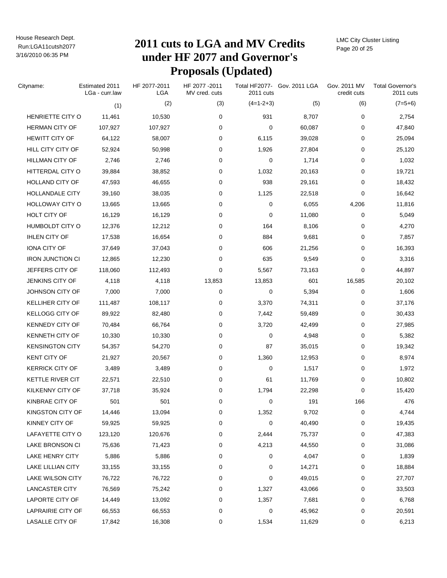# Run:LGA11cutsh2077 **2011 cuts to LGA and MV Credits under HF 2077 and Governor's Proposals (Updated)**

LMC City Cluster Listing Page 20 of 25

| Cityname:                | Estimated 2011<br>LGa - curr.law | HF 2077-2011<br>LGA | HF 2077-2011<br>MV cred. cuts | 2011 cuts   | Total HF2077- Gov. 2011 LGA | Gov. 2011 MV<br>credit cuts | <b>Total Governor's</b><br>2011 cuts |
|--------------------------|----------------------------------|---------------------|-------------------------------|-------------|-----------------------------|-----------------------------|--------------------------------------|
|                          |                                  | (2)<br>(1)          | (3)                           | $(4=1-2+3)$ | (5)                         | (6)                         | $(7=5+6)$                            |
| HENRIETTE CITY O         | 11,461                           | 10,530              | 0                             | 931         | 8,707                       | 0                           | 2,754                                |
| <b>HERMAN CITY OF</b>    | 107,927                          | 107,927             | 0                             | 0           | 60,087                      | 0                           | 47,840                               |
| <b>HEWITT CITY OF</b>    | 64,122                           | 58,007              | 0                             | 6,115       | 39,028                      | 0                           | 25,094                               |
| HILL CITY CITY OF        | 52,924                           | 50,998              | 0                             | 1,926       | 27,804                      | 0                           | 25,120                               |
| <b>HILLMAN CITY OF</b>   | 2,746                            | 2,746               | 0                             | 0           | 1,714                       | 0                           | 1,032                                |
| HITTERDAL CITY O         | 39,884                           | 38,852              | 0                             | 1,032       | 20,163                      | 0                           | 19,721                               |
| HOLLAND CITY OF          | 47,593                           | 46,655              | 0                             | 938         | 29,161                      | 0                           | 18,432                               |
| HOLLANDALE CITY          | 39,160                           | 38,035              | 0                             | 1,125       | 22,518                      | 0                           | 16,642                               |
| HOLLOWAY CITY O          | 13,665                           | 13,665              | 0                             | 0           | 6,055                       | 4,206                       | 11,816                               |
| HOLT CITY OF             | 16,129                           | 16,129              | 0                             | 0           | 11,080                      | 0                           | 5,049                                |
| HUMBOLDT CITY O          | 12,376                           | 12,212              | 0                             | 164         | 8,106                       | 0                           | 4,270                                |
| <b>IHLEN CITY OF</b>     | 17,538                           | 16,654              | 0                             | 884         | 9,681                       | 0                           | 7,857                                |
| IONA CITY OF             | 37,649                           | 37,043              | 0                             | 606         | 21,256                      | 0                           | 16,393                               |
| <b>IRON JUNCTION CI</b>  | 12,865                           | 12,230              | 0                             | 635         | 9,549                       | 0                           | 3,316                                |
| JEFFERS CITY OF          | 118,060                          | 112,493             | 0                             | 5,567       | 73,163                      | 0                           | 44,897                               |
| JENKINS CITY OF          | 4,118                            | 4,118               | 13,853                        | 13,853      | 601                         | 16,585                      | 20,102                               |
| JOHNSON CITY OF          | 7,000                            | 7,000               | 0                             | 0           | 5,394                       | 0                           | 1,606                                |
| KELLIHER CITY OF         | 111,487                          | 108,117             | 0                             | 3,370       | 74,311                      | 0                           | 37,176                               |
| <b>KELLOGG CITY OF</b>   | 89,922                           | 82,480              | 0                             | 7,442       | 59,489                      | 0                           | 30,433                               |
| <b>KENNEDY CITY OF</b>   | 70,484                           | 66,764              | 0                             | 3,720       | 42,499                      | 0                           | 27,985                               |
| KENNETH CITY OF          | 10,330                           | 10,330              | 0                             | 0           | 4,948                       | 0                           | 5,382                                |
| <b>KENSINGTON CITY</b>   | 54,357                           | 54,270              | 0                             | 87          | 35,015                      | 0                           | 19,342                               |
| <b>KENT CITY OF</b>      | 21,927                           | 20,567              | 0                             | 1,360       | 12,953                      | 0                           | 8,974                                |
| <b>KERRICK CITY OF</b>   |                                  | 3,489<br>3,489      | 0                             | 0           | 1,517                       | 0                           | 1,972                                |
| KETTLE RIVER CIT         | 22,571                           | 22,510              | 0                             | 61          | 11,769                      | 0                           | 10,802                               |
| KILKENNY CITY OF         | 37,718                           | 35,924              | 0                             | 1,794       | 22,298                      | 0                           | 15,420                               |
| KINBRAE CITY OF          |                                  | 501<br>501          | 0                             | 0           | 191                         | 166                         | 476                                  |
| KINGSTON CITY OF         | 14,446                           | 13,094              | 0                             | 1,352       | 9,702                       | 0                           | 4,744                                |
| KINNEY CITY OF           | 59,925                           | 59,925              | 0                             | 0           | 40,490                      | 0                           | 19,435                               |
| LAFAYETTE CITY O         | 123,120                          | 120,676             | 0                             | 2,444       | 75,737                      | 0                           | 47,383                               |
| LAKE BRONSON CI          | 75,636                           | 71,423              | 0                             | 4,213       | 44,550                      | 0                           | 31,086                               |
| LAKE HENRY CITY          |                                  | 5,886<br>5,886      | 0                             | 0           | 4,047                       | 0                           | 1,839                                |
| <b>LAKE LILLIAN CITY</b> | 33,155                           | 33,155              | 0                             | 0           | 14,271                      | 0                           | 18,884                               |
| LAKE WILSON CITY         | 76,722                           | 76,722              | 0                             | 0           | 49,015                      | 0                           | 27,707                               |
| <b>LANCASTER CITY</b>    | 76,569                           | 75,242              | 0                             | 1,327       | 43,066                      | 0                           | 33,503                               |
| LAPORTE CITY OF          | 14,449                           | 13,092              | 0                             | 1,357       | 7,681                       | 0                           | 6,768                                |
| LAPRAIRIE CITY OF        | 66,553                           | 66,553              | 0                             | 0           | 45,962                      | 0                           | 20,591                               |
| LASALLE CITY OF          | 17,842                           | 16,308              | 0                             | 1,534       | 11,629                      | 0                           | 6,213                                |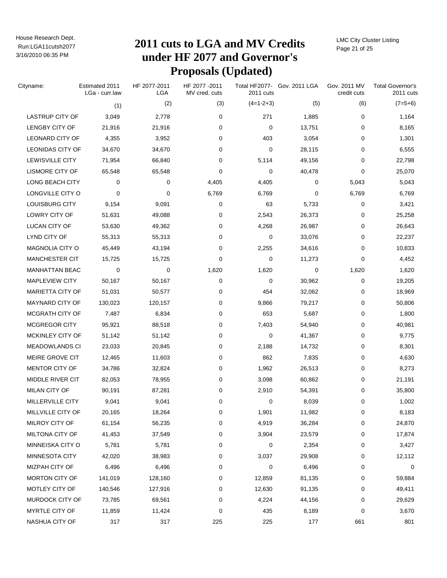# Run:LGA11cutsh2077 **2011 cuts to LGA and MV Credits under HF 2077 and Governor's Proposals (Updated)**

LMC City Cluster Listing Page 21 of 25

| Cityname:               | Estimated 2011<br>LGa - curr.law | HF 2077-2011<br><b>LGA</b> | HF 2077 - 2011<br>MV cred. cuts | 2011 cuts   | Total HF2077- Gov. 2011 LGA | Gov. 2011 MV<br>credit cuts | <b>Total Governor's</b><br>2011 cuts |
|-------------------------|----------------------------------|----------------------------|---------------------------------|-------------|-----------------------------|-----------------------------|--------------------------------------|
|                         | (1)                              | (2)                        | (3)                             | $(4=1-2+3)$ | (5)                         | (6)                         | $(7=5+6)$                            |
| <b>LASTRUP CITY OF</b>  | 3,049                            | 2,778                      | 0                               | 271         | 1,885                       | 0                           | 1,164                                |
| <b>LENGBY CITY OF</b>   | 21,916                           | 21,916                     | 0                               | 0           | 13,751                      | 0                           | 8,165                                |
| <b>LEONARD CITY OF</b>  | 4,355                            | 3,952                      | 0                               | 403         | 3,054                       | 0                           | 1,301                                |
| <b>LEONIDAS CITY OF</b> | 34,670                           | 34,670                     | 0                               | 0           | 28,115                      | 0                           | 6,555                                |
| LEWISVILLE CITY         | 71,954                           | 66,840                     | 0                               | 5,114       | 49,156                      | 0                           | 22,798                               |
| LISMORE CITY OF         | 65,548                           | 65,548                     | 0                               | 0           | 40,478                      | 0                           | 25,070                               |
| LONG BEACH CITY         | 0                                | 0                          | 4,405                           | 4,405       | 0                           | 5,043                       | 5,043                                |
| LONGVILLE CITY O        | 0                                | 0                          | 6,769                           | 6,769       | 0                           | 6,769                       | 6,769                                |
| LOUISBURG CITY          | 9,154                            | 9,091                      | 0                               | 63          | 5,733                       | 0                           | 3,421                                |
| LOWRY CITY OF           | 51,631                           | 49,088                     | 0                               | 2,543       | 26,373                      | 0                           | 25,258                               |
| LUCAN CITY OF           | 53,630                           | 49,362                     | 0                               | 4,268       | 26,987                      | 0                           | 26,643                               |
| LYND CITY OF            | 55,313                           | 55,313                     | 0                               | 0           | 33,076                      | 0                           | 22,237                               |
| MAGNOLIA CITY O         | 45,449                           | 43,194                     | 0                               | 2,255       | 34,616                      | 0                           | 10,833                               |
| MANCHESTER CIT          | 15,725                           | 15,725                     | 0                               | 0           | 11,273                      | 0                           | 4,452                                |
| <b>MANHATTAN BEAC</b>   | 0                                | 0                          | 1,620                           | 1,620       | 0                           | 1,620                       | 1,620                                |
| <b>MAPLEVIEW CITY</b>   | 50,167                           | 50,167                     | 0                               | 0           | 30,962                      | 0                           | 19,205                               |
| MARIETTA CITY OF        | 51,031                           | 50,577                     | 0                               | 454         | 32,062                      | 0                           | 18,969                               |
| <b>MAYNARD CITY OF</b>  | 130,023                          | 120,157                    | 0                               | 9,866       | 79,217                      | 0                           | 50,806                               |
| MCGRATH CITY OF         | 7,487                            | 6,834                      | 0                               | 653         | 5,687                       | 0                           | 1,800                                |
| <b>MCGREGOR CITY</b>    | 95,921                           | 88,518                     | 0                               | 7,403       | 54,940                      | 0                           | 40,981                               |
| MCKINLEY CITY OF        | 51,142                           | 51,142                     | 0                               | 0           | 41,367                      | 0                           | 9,775                                |
| <b>MEADOWLANDS CI</b>   | 23,033                           | 20,845                     | 0                               | 2,188       | 14,732                      | 0                           | 8,301                                |
| MEIRE GROVE CIT         | 12,465                           | 11,603                     | 0                               | 862         | 7,835                       | 0                           | 4,630                                |
| MENTOR CITY OF          | 34,786                           | 32,824                     | 0                               | 1,962       | 26,513                      | 0                           | 8,273                                |
| MIDDLE RIVER CIT        | 82,053                           | 78,955                     | 0                               | 3,098       | 60,862                      | 0                           | 21,191                               |
| MILAN CITY OF           | 90,191                           | 87,281                     | 0                               | 2,910       | 54,391                      | 0                           | 35,800                               |
| MILLERVILLE CITY        | 9,041                            | 9,041                      | 0                               | 0           | 8,039                       | 0                           | 1,002                                |
| MILLVILLE CITY OF       | 20,165                           | 18,264                     | 0                               | 1,901       | 11,982                      | 0                           | 8,183                                |
| MILROY CITY OF          | 61,154                           | 56,235                     | 0                               | 4,919       | 36,284                      | 0                           | 24,870                               |
| MILTONA CITY OF         | 41,453                           | 37,549                     | 0                               | 3,904       | 23,579                      | 0                           | 17,874                               |
| MINNEISKA CITY O        | 5,781                            | 5,781                      | 0                               | 0           | 2,354                       | 0                           | 3,427                                |
| MINNESOTA CITY          | 42,020                           | 38,983                     | 0                               | 3,037       | 29,908                      | 0                           | 12,112                               |
| MIZPAH CITY OF          | 6,496                            | 6,496                      | 0                               | 0           | 6,496                       | 0                           | 0                                    |
| <b>MORTON CITY OF</b>   | 141,019                          | 128,160                    | 0                               | 12,859      | 81,135                      | 0                           | 59,884                               |
| MOTLEY CITY OF          | 140,546                          | 127,916                    | 0                               | 12,630      | 91,135                      | 0                           | 49,411                               |
| MURDOCK CITY OF         | 73,785                           | 69,561                     | 0                               | 4,224       | 44,156                      | 0                           | 29,629                               |
| MYRTLE CITY OF          | 11,859                           | 11,424                     | 0                               | 435         | 8,189                       | 0                           | 3,670                                |
| NASHUA CITY OF          | 317                              | 317                        | 225                             | 225         | 177                         | 661                         | 801                                  |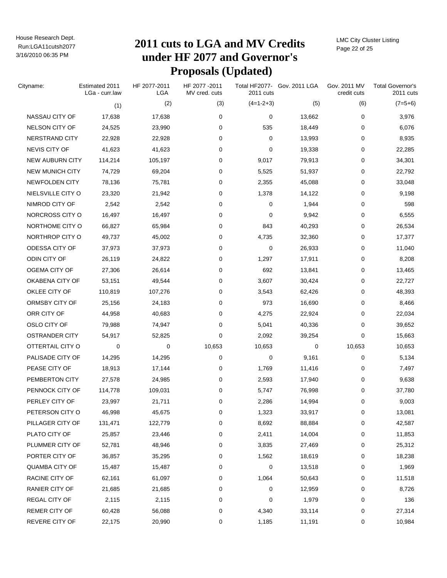# Run:LGA11cutsh2077 **2011 cuts to LGA and MV Credits under HF 2077 and Governor's Proposals (Updated)**

LMC City Cluster Listing Page 22 of 25

| Cityname:              | Estimated 2011<br>LGa - curr.law | HF 2077-2011<br>LGA | HF 2077 - 2011<br>MV cred. cuts | 2011 cuts   | Total HF2077- Gov. 2011 LGA | Gov. 2011 MV<br>credit cuts | <b>Total Governor's</b><br>2011 cuts |
|------------------------|----------------------------------|---------------------|---------------------------------|-------------|-----------------------------|-----------------------------|--------------------------------------|
|                        | (1)                              | (2)                 | (3)                             | $(4=1-2+3)$ | (5)                         | (6)                         | $(7=5+6)$                            |
| NASSAU CITY OF         | 17,638                           | 17,638              | 0                               | 0           | 13,662                      | 0                           | 3,976                                |
| <b>NELSON CITY OF</b>  | 24,525                           | 23,990              | 0                               | 535         | 18,449                      | 0                           | 6,076                                |
| NERSTRAND CITY         | 22,928                           | 22,928              | 0                               | 0           | 13,993                      | 0                           | 8,935                                |
| NEVIS CITY OF          | 41,623                           | 41,623              | 0                               | 0           | 19,338                      | 0                           | 22,285                               |
| <b>NEW AUBURN CITY</b> | 114,214                          | 105,197             | 0                               | 9,017       | 79,913                      | 0                           | 34,301                               |
| <b>NEW MUNICH CITY</b> | 74,729                           | 69,204              | 0                               | 5,525       | 51,937                      | 0                           | 22,792                               |
| NEWFOLDEN CITY         | 78,136                           | 75,781              | 0                               | 2,355       | 45,088                      | 0                           | 33,048                               |
| NIELSVILLE CITY O      | 23,320                           | 21,942              | 0                               | 1,378       | 14,122                      | 0                           | 9,198                                |
| NIMROD CITY OF         | 2,542                            | 2,542               | 0                               | 0           | 1,944                       | 0                           | 598                                  |
| NORCROSS CITY O        | 16,497                           | 16,497              | 0                               | 0           | 9,942                       | 0                           | 6,555                                |
| NORTHOME CITY O        | 66,827                           | 65,984              | 0                               | 843         | 40,293                      | 0                           | 26,534                               |
| NORTHROP CITY O        | 49,737                           | 45,002              | 0                               | 4,735       | 32,360                      | 0                           | 17,377                               |
| ODESSA CITY OF         | 37,973                           | 37,973              | 0                               | 0           | 26,933                      | 0                           | 11,040                               |
| ODIN CITY OF           | 26,119                           | 24,822              | 0                               | 1,297       | 17,911                      | 0                           | 8,208                                |
| OGEMA CITY OF          | 27,306                           | 26,614              | 0                               | 692         | 13,841                      | 0                           | 13,465                               |
| OKABENA CITY OF        | 53,151                           | 49,544              | 0                               | 3,607       | 30,424                      | 0                           | 22,727                               |
| OKLEE CITY OF          | 110,819                          | 107,276             | 0                               | 3,543       | 62,426                      | 0                           | 48,393                               |
| ORMSBY CITY OF         | 25,156                           | 24,183              | 0                               | 973         | 16,690                      | 0                           | 8,466                                |
| ORR CITY OF            | 44,958                           | 40,683              | 0                               | 4,275       | 22,924                      | 0                           | 22,034                               |
| OSLO CITY OF           | 79,988                           | 74,947              | 0                               | 5,041       | 40,336                      | 0                           | 39,652                               |
| <b>OSTRANDER CITY</b>  | 54,917                           | 52,825              | 0                               | 2,092       | 39,254                      | 0                           | 15,663                               |
| OTTERTAIL CITY O       | 0                                | 0                   | 10,653                          | 10,653      | 0                           | 10,653                      | 10,653                               |
| PALISADE CITY OF       | 14,295                           | 14,295              | 0                               | 0           | 9,161                       | 0                           | 5,134                                |
| PEASE CITY OF          | 18,913                           | 17,144              | 0                               | 1,769       | 11,416                      | 0                           | 7,497                                |
| PEMBERTON CITY         | 27,578                           | 24,985              | 0                               | 2,593       | 17,940                      | 0                           | 9,638                                |
| PENNOCK CITY OF        | 114,778                          | 109,031             | 0                               | 5,747       | 76,998                      | 0                           | 37,780                               |
| PERLEY CITY OF         | 23,997                           | 21,711              | 0                               | 2,286       | 14,994                      | 0                           | 9,003                                |
| PETERSON CITY O        | 46,998                           | 45,675              | 0                               | 1,323       | 33,917                      | 0                           | 13,081                               |
| PILLAGER CITY OF       | 131,471                          | 122,779             | 0                               | 8,692       | 88,884                      | 0                           | 42,587                               |
| PLATO CITY OF          | 25,857                           | 23,446              | 0                               | 2,411       | 14,004                      | 0                           | 11,853                               |
| PLUMMER CITY OF        | 52,781                           | 48,946              | 0                               | 3,835       | 27,469                      | 0                           | 25,312                               |
| PORTER CITY OF         | 36,857                           | 35,295              | 0                               | 1,562       | 18,619                      | 0                           | 18,238                               |
| <b>QUAMBA CITY OF</b>  | 15,487                           | 15,487              | 0                               | 0           | 13,518                      | 0                           | 1,969                                |
| RACINE CITY OF         | 62,161                           | 61,097              | 0                               | 1,064       | 50,643                      | 0                           | 11,518                               |
| <b>RANIER CITY OF</b>  | 21,685                           | 21,685              | 0                               | 0           | 12,959                      | 0                           | 8,726                                |
| <b>REGAL CITY OF</b>   | 2,115                            | 2,115               | 0                               | 0           | 1,979                       | 0                           | 136                                  |
| <b>REMER CITY OF</b>   | 60,428                           | 56,088              | 0                               | 4,340       | 33,114                      | 0                           | 27,314                               |
| REVERE CITY OF         | 22,175                           | 20,990              | 0                               | 1,185       | 11,191                      | 0                           | 10,984                               |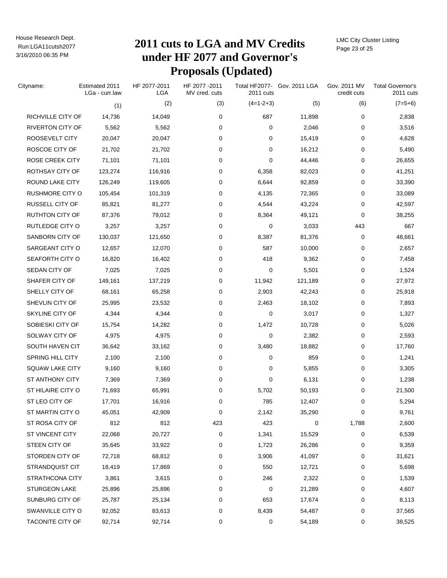# Run:LGA11cutsh2077 **2011 cuts to LGA and MV Credits under HF 2077 and Governor's Proposals (Updated)**

LMC City Cluster Listing Page 23 of 25

| Cityname:               | Estimated 2011<br>LGa - curr.law | HF 2077-2011<br>LGA | HF 2077-2011<br>MV cred. cuts | 2011 cuts   | Total HF2077- Gov. 2011 LGA | Gov. 2011 MV<br>credit cuts | <b>Total Governor's</b><br>2011 cuts |
|-------------------------|----------------------------------|---------------------|-------------------------------|-------------|-----------------------------|-----------------------------|--------------------------------------|
|                         | (1)                              | (2)                 | (3)                           | $(4=1-2+3)$ | (5)                         | (6)                         | $(7=5+6)$                            |
| RICHVILLE CITY OF       | 14,736                           | 14,049              | 0                             | 687         | 11,898                      | 0                           | 2,838                                |
| <b>RIVERTON CITY OF</b> | 5,562                            | 5,562               | 0                             | 0           | 2,046                       | 0                           | 3,516                                |
| ROOSEVELT CITY          | 20,047                           | 20,047              | 0                             | 0           | 15,419                      | 0                           | 4,628                                |
| ROSCOE CITY OF          | 21,702                           | 21,702              | 0                             | 0           | 16,212                      | 0                           | 5,490                                |
| <b>ROSE CREEK CITY</b>  | 71,101                           | 71,101              | 0                             | 0           | 44,446                      | 0                           | 26,655                               |
| ROTHSAY CITY OF         | 123,274                          | 116,916             | 0                             | 6,358       | 82,023                      | 0                           | 41,251                               |
| ROUND LAKE CITY         | 126,249                          | 119,605             | 0                             | 6,644       | 92,859                      | 0                           | 33,390                               |
| RUSHMORE CITY O         | 105,454                          | 101,319             | 0                             | 4,135       | 72,365                      | 0                           | 33,089                               |
| RUSSELL CITY OF         | 85,821                           | 81,277              | 0                             | 4,544       | 43,224                      | 0                           | 42,597                               |
| RUTHTON CITY OF         | 87,376                           | 79,012              | 0                             | 8,364       | 49,121                      | 0                           | 38,255                               |
| <b>RUTLEDGE CITY O</b>  | 3,257                            | 3,257               | 0                             | 0           | 3,033                       | 443                         | 667                                  |
| SANBORN CITY OF         | 130,037                          | 121,650             | 0                             | 8,387       | 81,376                      | 0                           | 48,661                               |
| SARGEANT CITY O         | 12,657                           | 12,070              | 0                             | 587         | 10,000                      | 0                           | 2,657                                |
| SEAFORTH CITY O         | 16,820                           | 16,402              | 0                             | 418         | 9,362                       | 0                           | 7,458                                |
| SEDAN CITY OF           | 7,025                            | 7,025               | 0                             | 0           | 5,501                       | 0                           | 1,524                                |
| SHAFER CITY OF          | 149,161                          | 137,219             | 0                             | 11,942      | 121,189                     | 0                           | 27,972                               |
| SHELLY CITY OF          | 68,161                           | 65,258              | 0                             | 2,903       | 42,243                      | 0                           | 25,918                               |
| SHEVLIN CITY OF         | 25,995                           | 23,532              | 0                             | 2,463       | 18,102                      | 0                           | 7,893                                |
| SKYLINE CITY OF         | 4,344                            | 4,344               | 0                             | 0           | 3,017                       | 0                           | 1,327                                |
| SOBIESKI CITY OF        | 15,754                           | 14,282              | 0                             | 1,472       | 10,728                      | 0                           | 5,026                                |
| SOLWAY CITY OF          | 4,975                            | 4,975               | 0                             | 0           | 2,382                       | 0                           | 2,593                                |
| SOUTH HAVEN CIT         | 36,642                           | 33,162              | 0                             | 3,480       | 18,882                      | 0                           | 17,760                               |
| SPRING HILL CITY        | 2,100                            | 2,100               | 0                             | 0           | 859                         | 0                           | 1,241                                |
| <b>SQUAW LAKE CITY</b>  | 9,160                            | 9,160               | 0                             | 0           | 5,855                       | 0                           | 3,305                                |
| ST ANTHONY CITY         | 7,369                            | 7,369               | 0                             | 0           | 6,131                       | 0                           | 1,238                                |
| ST HILAIRE CITY O       | 71,693                           | 65,991              | 0                             | 5,702       | 50,193                      | 0                           | 21,500                               |
| ST LEO CITY OF          | 17,701                           | 16,916              | 0                             | 785         | 12,407                      | 0                           | 5,294                                |
| ST MARTIN CITY O        | 45,051                           | 42,909              | 0                             | 2,142       | 35,290                      | 0                           | 9,761                                |
| ST ROSA CITY OF         | 812                              | 812                 | 423                           | 423         | 0                           | 1,788                       | 2,600                                |
| ST VINCENT CITY         | 22,068                           | 20,727              | 0                             | 1,341       | 15,529                      | 0                           | 6,539                                |
| STEEN CITY OF           | 35,645                           | 33,922              | 0                             | 1,723       | 26,286                      | 0                           | 9,359                                |
| STORDEN CITY OF         | 72,718                           | 68,812              | 0                             | 3,906       | 41,097                      | 0                           | 31,621                               |
| STRANDQUIST CIT         | 18,419                           | 17,869              | 0                             | 550         | 12,721                      | 0                           | 5,698                                |
| STRATHCONA CITY         | 3,861                            | 3,615               | 0                             | 246         | 2,322                       | 0                           | 1,539                                |
| <b>STURGEON LAKE</b>    | 25,896                           | 25,896              | 0                             | 0           | 21,289                      | 0                           | 4,607                                |
| SUNBURG CITY OF         | 25,787                           | 25,134              | 0                             | 653         | 17,674                      | 0                           | 8,113                                |
| SWANVILLE CITY O        | 92,052                           | 83,613              | 0                             | 8,439       | 54,487                      | 0                           | 37,565                               |
| TACONITE CITY OF        | 92,714                           | 92,714              | 0                             | 0           | 54,189                      | 0                           | 38,525                               |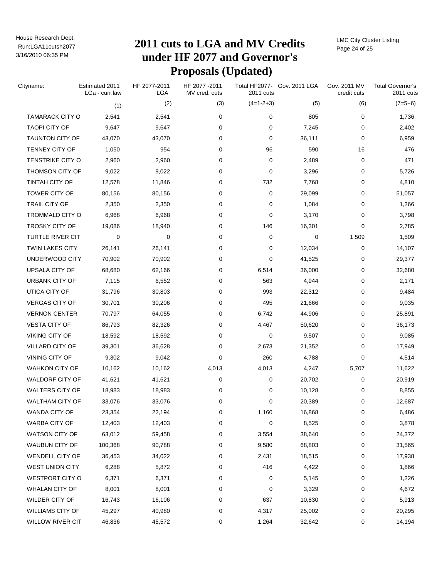# Run:LGA11cutsh2077 **2011 cuts to LGA and MV Credits under HF 2077 and Governor's Proposals (Updated)**

LMC City Cluster Listing Page 24 of 25

| Cityname:               | Estimated 2011<br>LGa - curr.law | HF 2077-2011<br>LGA | HF 2077 - 2011<br>MV cred. cuts | 2011 cuts   | Total HF2077- Gov. 2011 LGA | Gov. 2011 MV<br>credit cuts | <b>Total Governor's</b><br>2011 cuts |
|-------------------------|----------------------------------|---------------------|---------------------------------|-------------|-----------------------------|-----------------------------|--------------------------------------|
|                         |                                  | (2)<br>(1)          | (3)                             | $(4=1-2+3)$ | (5)                         | (6)                         | $(7=5+6)$                            |
| <b>TAMARACK CITY O</b>  | 2,541                            | 2,541               | 0                               | 0           | 805                         | 0                           | 1,736                                |
| <b>TAOPI CITY OF</b>    | 9,647                            | 9,647               | 0                               | 0           | 7,245                       | 0                           | 2,402                                |
| <b>TAUNTON CITY OF</b>  | 43,070                           | 43,070              | 0                               | 0           | 36,111                      | 0                           | 6,959                                |
| TENNEY CITY OF          | 1,050                            | 954                 | 0                               | 96          | 590                         | 16                          | 476                                  |
| <b>TENSTRIKE CITY O</b> | 2,960                            | 2,960               | 0                               | 0           | 2,489                       | 0                           | 471                                  |
| THOMSON CITY OF         | 9,022                            | 9,022               | 0                               | 0           | 3,296                       | 0                           | 5,726                                |
| <b>TINTAH CITY OF</b>   | 12,578                           | 11,846              | 0                               | 732         | 7,768                       | 0                           | 4,810                                |
| TOWER CITY OF           | 80,156                           | 80,156              | 0                               | 0           | 29,099                      | 0                           | 51,057                               |
| TRAIL CITY OF           | 2,350                            | 2,350               | 0                               | 0           | 1,084                       | 0                           | 1,266                                |
| <b>TROMMALD CITY O</b>  | 6,968                            | 6,968               | 0                               | 0           | 3,170                       | 0                           | 3,798                                |
| <b>TROSKY CITY OF</b>   | 19,086                           | 18,940              | 0                               | 146         | 16,301                      | 0                           | 2,785                                |
| <b>TURTLE RIVER CIT</b> |                                  | 0<br>0              | 0                               | 0           | 0                           | 1,509                       | 1,509                                |
| <b>TWIN LAKES CITY</b>  | 26,141                           | 26,141              | 0                               | 0           | 12,034                      | 0                           | 14,107                               |
| UNDERWOOD CITY          | 70,902                           | 70,902              | 0                               | 0           | 41,525                      | 0                           | 29,377                               |
| UPSALA CITY OF          | 68,680                           | 62,166              | 0                               | 6,514       | 36,000                      | 0                           | 32,680                               |
| URBANK CITY OF          | 7,115                            | 6,552               | 0                               | 563         | 4,944                       | 0                           | 2,171                                |
| UTICA CITY OF           | 31,796                           | 30,803              | 0                               | 993         | 22,312                      | 0                           | 9,484                                |
| <b>VERGAS CITY OF</b>   | 30,701                           | 30,206              | 0                               | 495         | 21,666                      | 0                           | 9,035                                |
| <b>VERNON CENTER</b>    | 70,797                           | 64,055              | 0                               | 6,742       | 44,906                      | 0                           | 25,891                               |
| <b>VESTA CITY OF</b>    | 86,793                           | 82,326              | 0                               | 4,467       | 50,620                      | 0                           | 36,173                               |
| <b>VIKING CITY OF</b>   | 18,592                           | 18,592              | 0                               | 0           | 9,507                       | 0                           | 9,085                                |
| VILLARD CITY OF         | 39,301                           | 36,628              | 0                               | 2,673       | 21,352                      | 0                           | 17,949                               |
| VINING CITY OF          | 9,302                            | 9,042               | 0                               | 260         | 4,788                       | 0                           | 4,514                                |
| <b>WAHKON CITY OF</b>   | 10,162                           | 10,162              | 4,013                           | 4,013       | 4,247                       | 5,707                       | 11,622                               |
| <b>WALDORF CITY OF</b>  | 41,621                           | 41,621              | 0                               | 0           | 20,702                      | 0                           | 20,919                               |
| <b>WALTERS CITY OF</b>  | 18,983                           | 18,983              | 0                               | 0           | 10,128                      | 0                           | 8,855                                |
| <b>WALTHAM CITY OF</b>  | 33,076                           | 33,076              | 0                               | 0           | 20,389                      | 0                           | 12,687                               |
| WANDA CITY OF           | 23,354                           | 22,194              | 0                               | 1,160       | 16,868                      | 0                           | 6,486                                |
| WARBA CITY OF           | 12,403                           | 12,403              | 0                               | 0           | 8,525                       | 0                           | 3,878                                |
| <b>WATSON CITY OF</b>   | 63,012                           | 59,458              | 0                               | 3,554       | 38,640                      | 0                           | 24,372                               |
| WAUBUN CITY OF          | 100,368                          | 90,788              | 0                               | 9,580       | 68,803                      | 0                           | 31,565                               |
| <b>WENDELL CITY OF</b>  | 36,453                           | 34,022              | 0                               | 2,431       | 18,515                      | 0                           | 17,938                               |
| WEST UNION CITY         | 6,288                            | 5,872               | 0                               | 416         | 4,422                       | 0                           | 1,866                                |
| <b>WESTPORT CITY O</b>  | 6,371                            | 6,371               | 0                               | 0           | 5,145                       | 0                           | 1,226                                |
| <b>WHALAN CITY OF</b>   | 8,001                            | 8,001               | 0                               | 0           | 3,329                       | 0                           | 4,672                                |
| WILDER CITY OF          | 16,743                           | 16,106              | 0                               | 637         | 10,830                      | 0                           | 5,913                                |
| <b>WILLIAMS CITY OF</b> | 45,297                           | 40,980              | 0                               | 4,317       | 25,002                      | 0                           | 20,295                               |
| WILLOW RIVER CIT        | 46,836                           | 45,572              | 0                               | 1,264       | 32,642                      | 0                           | 14,194                               |